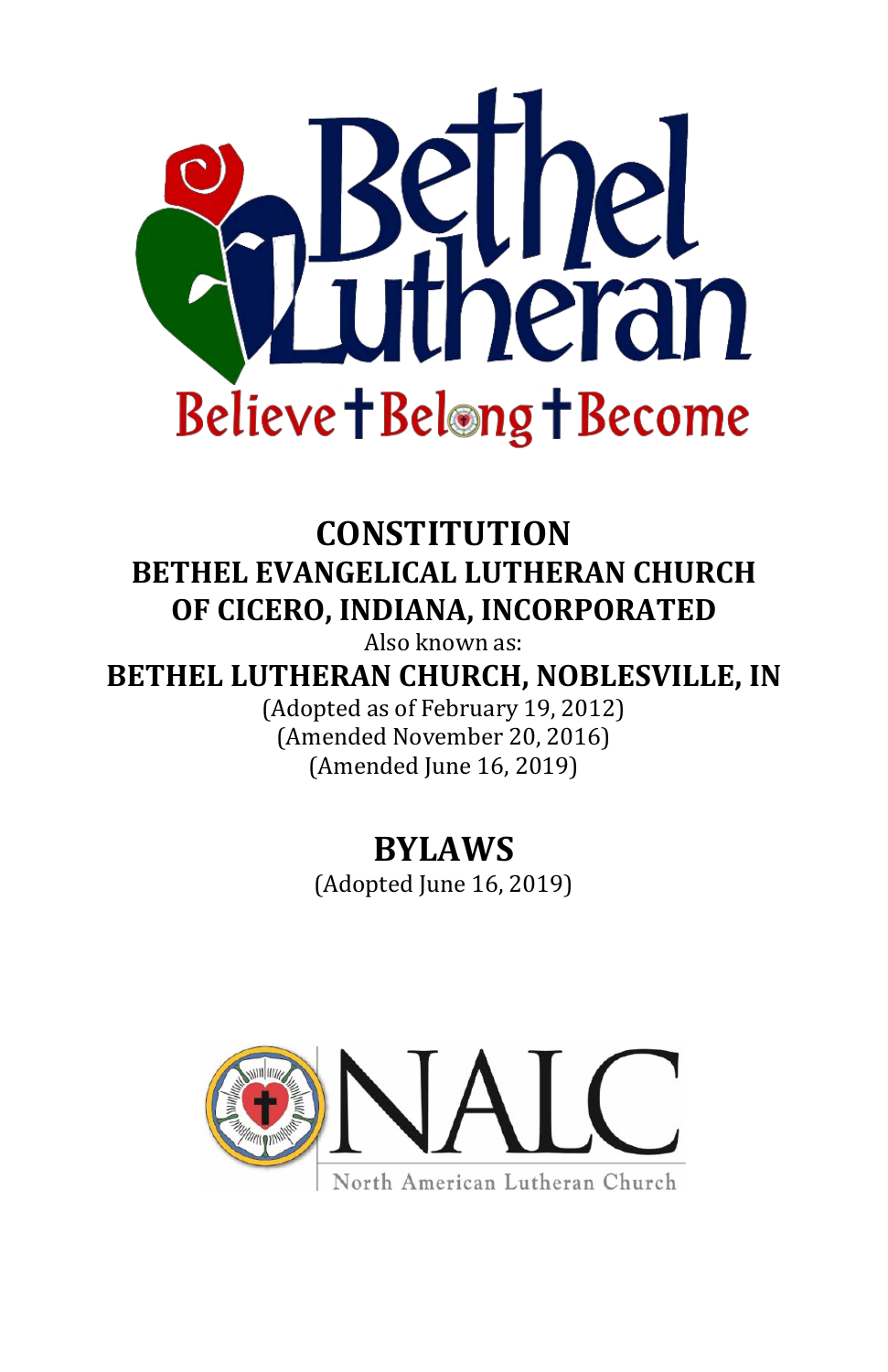

# <span id="page-0-0"></span>**CONSTITUTION BETHEL EVANGELICAL LUTHERAN CHURCH OF CICERO, INDIANA, INCORPORATED**

Also known as:

**BETHEL LUTHERAN CHURCH, NOBLESVILLE, IN**

(Adopted as of February 19, 2012) (Amended November 20, 2016) (Amended June 16, 2019)

# **BYLAWS**

(Adopted June 16, 2019)



North American Lutheran Church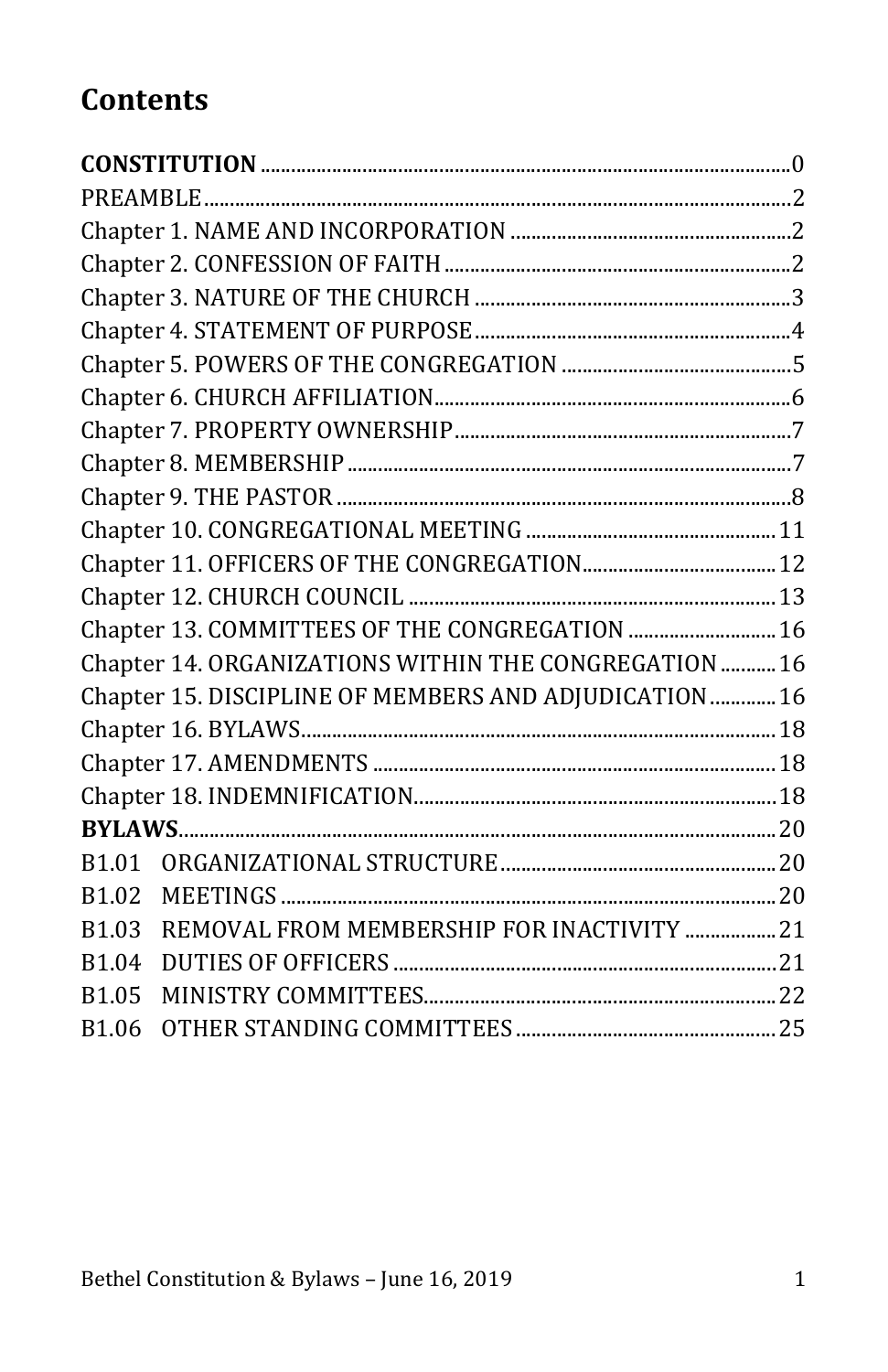# **Contents**

| Chapter 13. COMMITTEES OF THE CONGREGATION  16                   |  |
|------------------------------------------------------------------|--|
| Chapter 14. ORGANIZATIONS WITHIN THE CONGREGATION  16            |  |
| Chapter 15. DISCIPLINE OF MEMBERS AND ADJUDICATION  16           |  |
|                                                                  |  |
|                                                                  |  |
|                                                                  |  |
|                                                                  |  |
| B1.01                                                            |  |
| B <sub>1.02</sub>                                                |  |
| REMOVAL FROM MEMBERSHIP FOR INACTIVITY  21<br>B <sub>1.0</sub> 3 |  |
| B <sub>1.04</sub>                                                |  |
| B1.05                                                            |  |
| B1.06                                                            |  |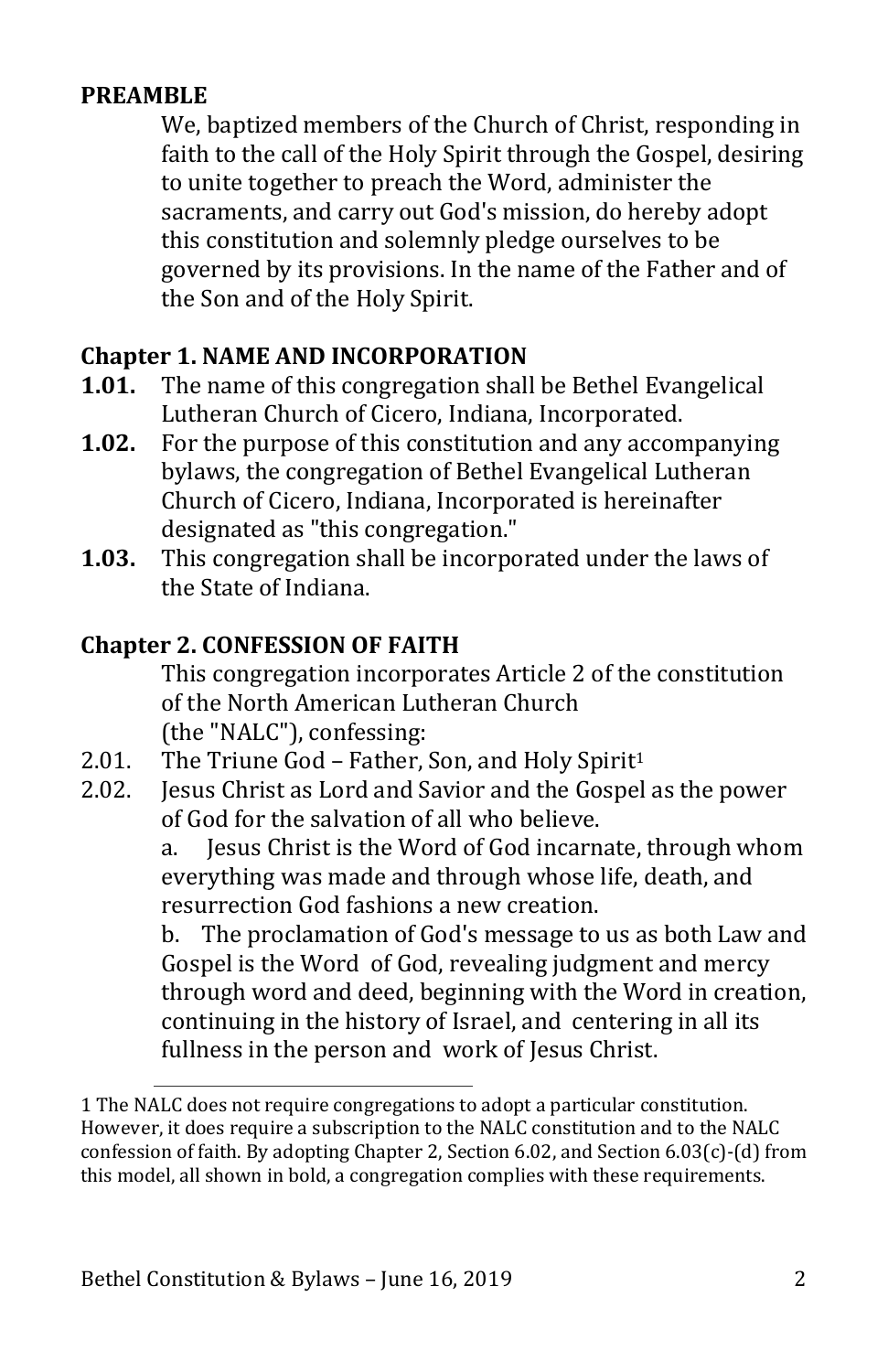## <span id="page-2-0"></span>**PREAMBLE**

We, baptized members of the Church of Christ, responding in faith to the call of the Holy Spirit through the Gospel, desiring to unite together to preach the Word, administer the sacraments, and carry out God's mission, do hereby adopt this constitution and solemnly pledge ourselves to be governed by its provisions. In the name of the Father and of the Son and of the Holy Spirit.

## <span id="page-2-1"></span>**Chapter 1. NAME AND INCORPORATION**

- **1.01.** The name of this congregation shall be Bethel Evangelical Lutheran Church of Cicero, Indiana, Incorporated.
- **1.02.** For the purpose of this constitution and any accompanying bylaws, the congregation of Bethel Evangelical Lutheran Church of Cicero, Indiana, Incorporated is hereinafter designated as "this congregation."
- **1.03.** This congregation shall be incorporated under the laws of the State of Indiana.

#### <span id="page-2-2"></span>**Chapter 2. CONFESSION OF FAITH**

This congregation incorporates Article 2 of the constitution of the North American Lutheran Church (the "NALC"), confessing:

- 2.01. The Triune God Father, Son, and Holy Spirit<sup>1</sup><br>2.02. Lesus Christ as Lord and Savior and the Gospel
- 2.02. Jesus Christ as Lord and Savior and the Gospel as the power of God for the salvation of all who believe.<br>a. lesus Christ is the Word of God incarn

Jesus Christ is the Word of God incarnate, through whom everything was made and through whose life, death, and resurrection God fashions a new creation.

b. The proclamation of God's message to us as both Law and Gospel is the Word of God, revealing judgment and mercy through word and deed, beginning with the Word in creation, continuing in the history of Israel, and centering in all its fullness in the person and work of Jesus Christ.

<sup>1</sup> The NALC does not require congregations to adopt a particular constitution. However, it does require a subscription to the NALC constitution and to the NALC confession of faith. By adopting Chapter 2, Section 6.02, and Section 6.03(c)-(d) from this model, all shown in bold, a congregation complies with these requirements.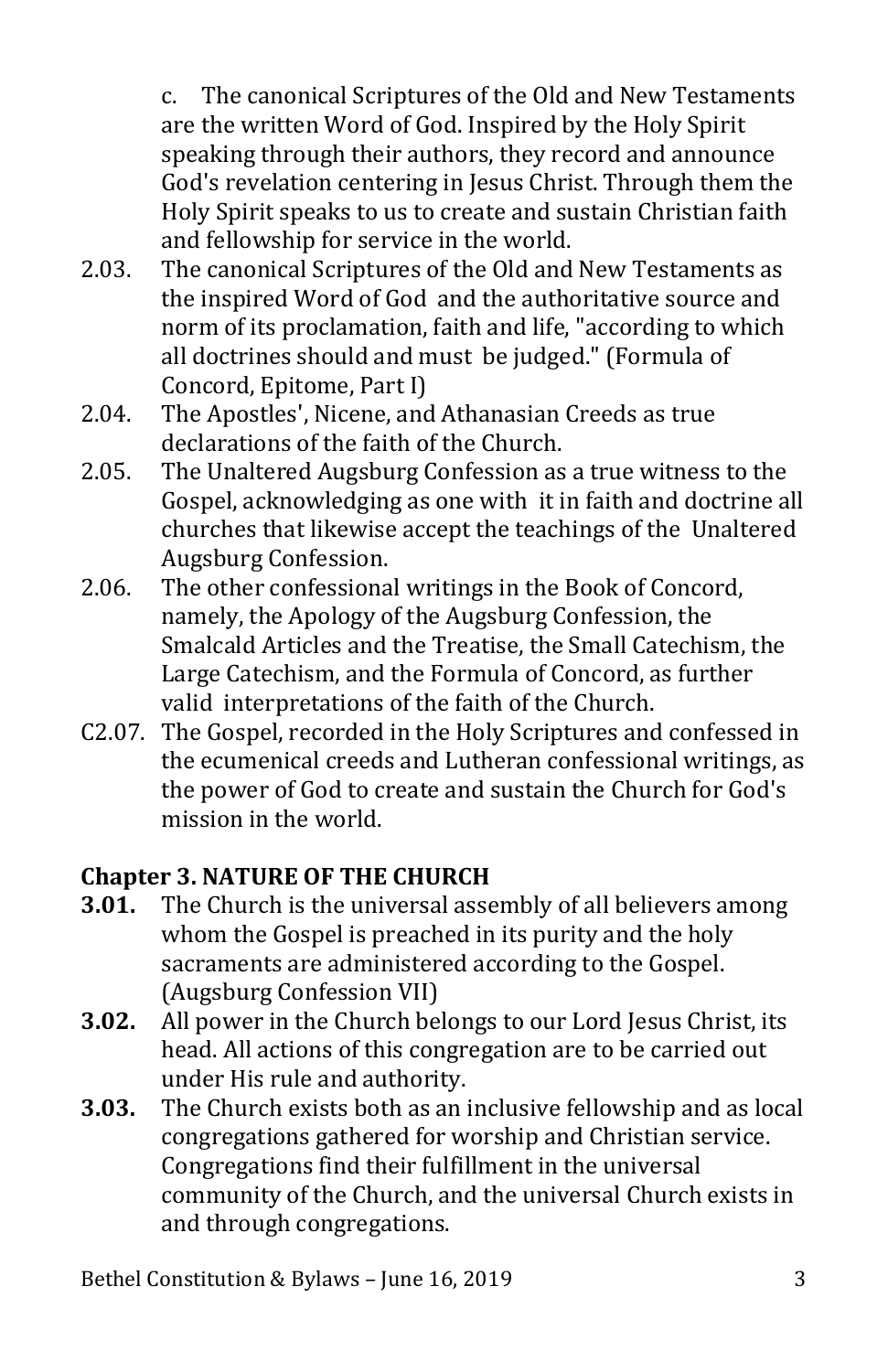c. The canonical Scriptures of the Old and New Testaments are the written Word of God. Inspired by the Holy Spirit speaking through their authors, they record and announce God's revelation centering in Jesus Christ. Through them the Holy Spirit speaks to us to create and sustain Christian faith and fellowship for service in the world.

- 2.03. The canonical Scriptures of the Old and New Testaments as the inspired Word of God and the authoritative source and norm of its proclamation, faith and life, "according to which all doctrines should and must be judged." (Formula of Concord, Epitome, Part I)
- 2.04. The Apostles', Nicene, and Athanasian Creeds as true declarations of the faith of the Church.
- 2.05. The Unaltered Augsburg Confession as a true witness to the Gospel, acknowledging as one with it in faith and doctrine all churches that likewise accept the teachings of the Unaltered Augsburg Confession.
- 2.06. The other confessional writings in the Book of Concord, namely, the Apology of the Augsburg Confession, the Smalcald Articles and the Treatise, the Small Catechism, the Large Catechism, and the Formula of Concord, as further valid interpretations of the faith of the Church.
- C2.07. The Gospel, recorded in the Holy Scriptures and confessed in the ecumenical creeds and Lutheran confessional writings, as the power of God to create and sustain the Church for God's mission in the world.

# <span id="page-3-0"></span>**Chapter 3. NATURE OF THE CHURCH**

- **3.01.** The Church is the universal assembly of all believers among whom the Gospel is preached in its purity and the holy sacraments are administered according to the Gospel. (Augsburg Confession VII)
- **3.02.** All power in the Church belongs to our Lord Jesus Christ, its head. All actions of this congregation are to be carried out under His rule and authority.
- **3.03.** The Church exists both as an inclusive fellowship and as local congregations gathered for worship and Christian service. Congregations find their fulfillment in the universal community of the Church, and the universal Church exists in and through congregations.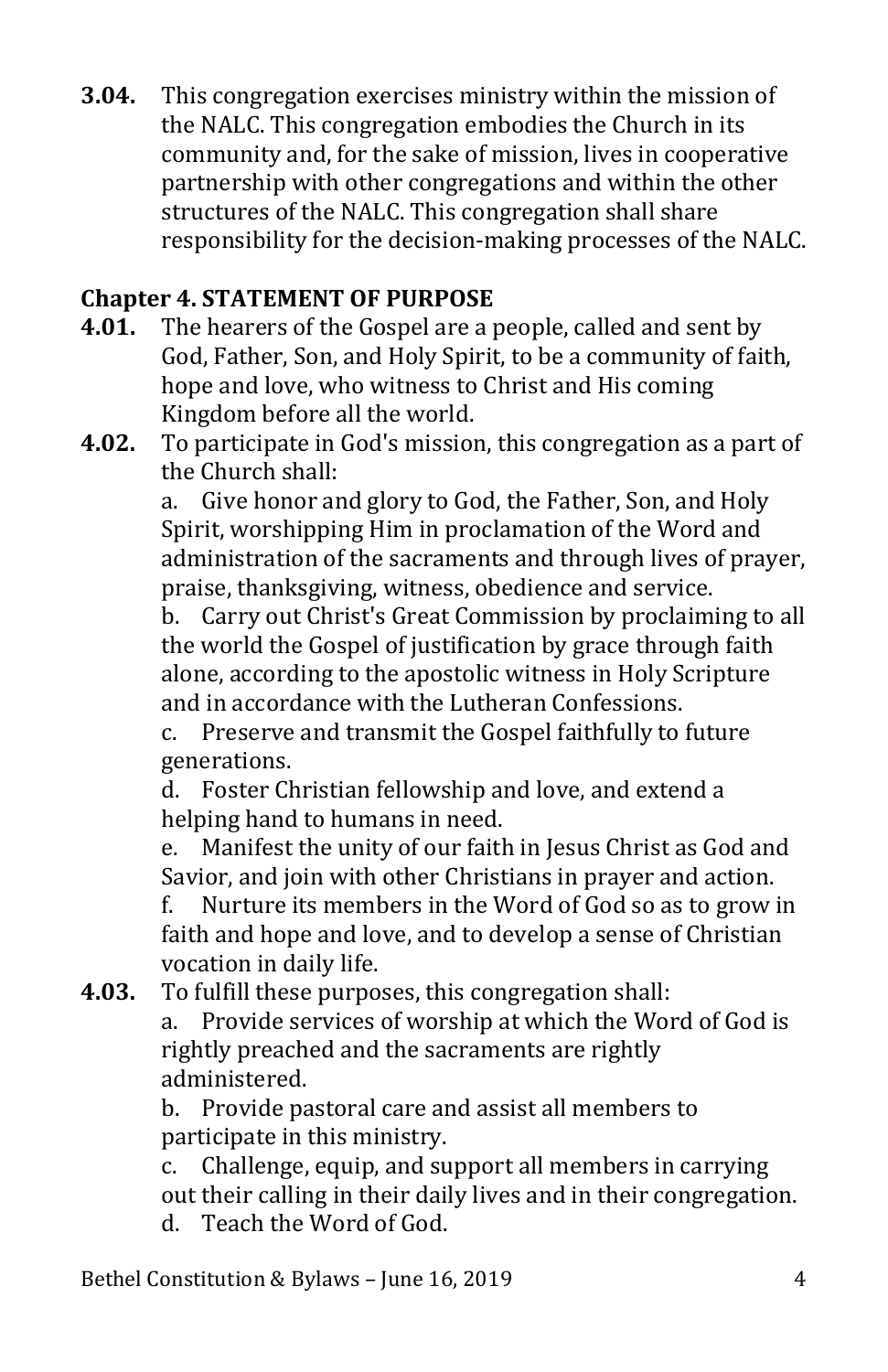**3.04.** This congregation exercises ministry within the mission of the NALC. This congregation embodies the Church in its community and, for the sake of mission, lives in cooperative partnership with other congregations and within the other structures of the NALC. This congregation shall share responsibility for the decision-making processes of the NALC.

## <span id="page-4-0"></span>**Chapter 4. STATEMENT OF PURPOSE**

- **4.01.** The hearers of the Gospel are a people, called and sent by God, Father, Son, and Holy Spirit, to be a community of faith, hope and love, who witness to Christ and His coming Kingdom before all the world.
- **4.02.** To participate in God's mission, this congregation as a part of the Church shall:

a. Give honor and glory to God, the Father, Son, and Holy Spirit, worshipping Him in proclamation of the Word and administration of the sacraments and through lives of prayer, praise, thanksgiving, witness, obedience and service.

b. Carry out Christ's Great Commission by proclaiming to all the world the Gospel of justification by grace through faith alone, according to the apostolic witness in Holy Scripture and in accordance with the Lutheran Confessions.

c. Preserve and transmit the Gospel faithfully to future generations.

d. Foster Christian fellowship and love, and extend a helping hand to humans in need.<br>e. Manifest the unity of our faith

Manifest the unity of our faith in Jesus Christ as God and Savior, and join with other Christians in prayer and action.<br>f. Nurture its members in the Word of God so as to grow

Nurture its members in the Word of God so as to grow in faith and hope and love, and to develop a sense of Christian vocation in daily life.

**4.03.** To fulfill these purposes, this congregation shall:

Provide services of worship at which the Word of God is rightly preached and the sacraments are rightly administered.<br>b. Provide na

b. Provide pastoral care and assist all members to participate in this ministry.<br>c. Challenge, equip, and su

Challenge, equip, and support all members in carrving out their calling in their daily lives and in their congregation. d. Teach the Word of God.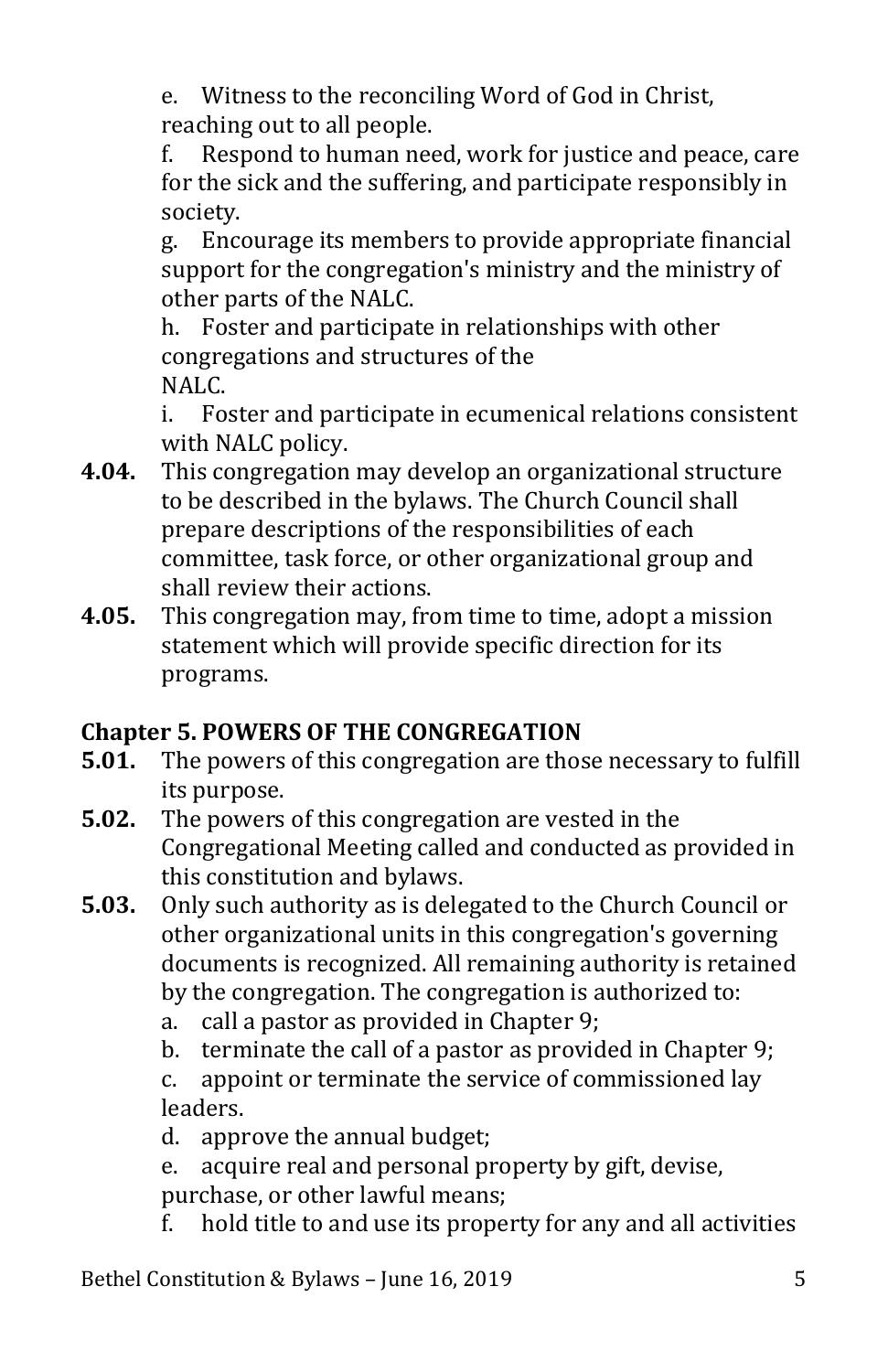e. Witness to the reconciling Word of God in Christ, reaching out to all people.<br>f. Respond to human nee

Respond to human need, work for justice and peace, care for the sick and the suffering, and participate responsibly in society.<br>g. Enco

g. Encourage its members to provide appropriate financial support for the congregation's ministry and the ministry of other parts of the NALC.<br>h. Foster and participat

Foster and participate in relationships with other congregations and structures of the NALC.

i. Foster and participate in ecumenical relations consistent with NALC policy.

- **4.04.** This congregation may develop an organizational structure to be described in the bylaws. The Church Council shall prepare descriptions of the responsibilities of each committee, task force, or other organizational group and shall review their actions.
- **4.05.** This congregation may, from time to time, adopt a mission statement which will provide specific direction for its programs.

# <span id="page-5-0"></span>**Chapter 5. POWERS OF THE CONGREGATION**

- **5.01.** The powers of this congregation are those necessary to fulfill its purpose.
- **5.02.** The powers of this congregation are vested in the Congregational Meeting called and conducted as provided in this constitution and bylaws.
- **5.03.** Only such authority as is delegated to the Church Council or other organizational units in this congregation's governing documents is recognized. All remaining authority is retained by the congregation. The congregation is authorized to:
	- a. call a pastor as provided in Chapter 9;<br>b. terminate the call of a pastor as provid
	- terminate the call of a pastor as provided in Chapter 9;

c. appoint or terminate the service of commissioned lay leaders.

d. approve the annual budget;<br>e. acquire real and personal pi

acquire real and personal property by gift, devise,

purchase, or other lawful means;<br>f hold title to and use its prope

hold title to and use its property for any and all activities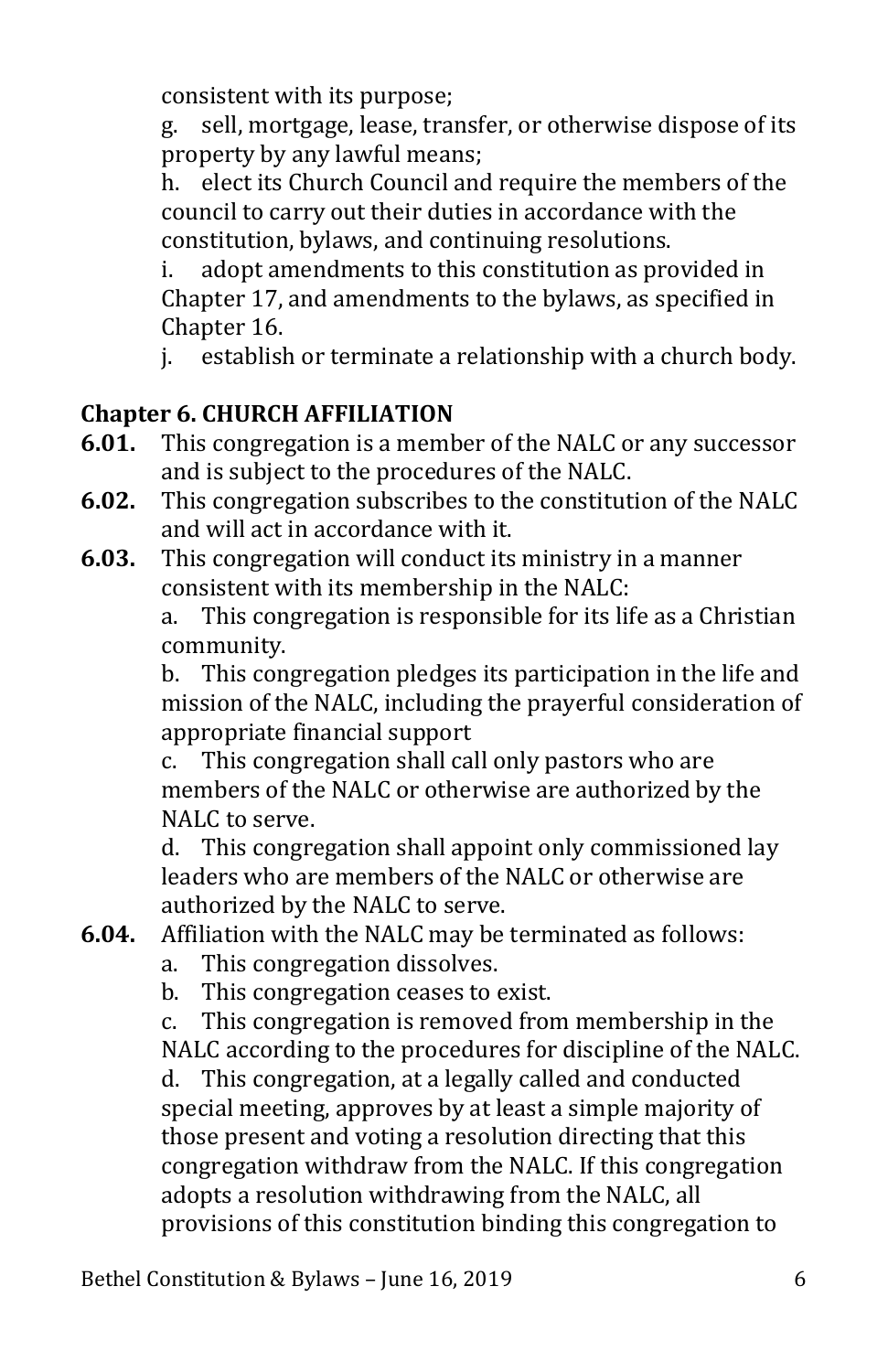consistent with its purpose;<br>g. sell. mortgage. lease. tra

sell, mortgage, lease, transfer, or otherwise dispose of its property by any lawful means;

h. elect its Church Council and require the members of the council to carry out their duties in accordance with the constitution, bylaws, and continuing resolutions.

adopt amendments to this constitution as provided in Chapter 17, and amendments to the bylaws, as specified in Chapter 16.<br>i. establish

establish or terminate a relationship with a church body.

# <span id="page-6-0"></span>**Chapter 6. CHURCH AFFILIATION**

- **6.01.** This congregation is a member of the NALC or any successor and is subject to the procedures of the NALC.
- **6.02.** This congregation subscribes to the constitution of the NALC and will act in accordance with it.
- **6.03.** This congregation will conduct its ministry in a manner consistent with its membership in the NALC:<br>a. This congregation is responsible for its life

This congregation is responsible for its life as a Christian community.<br>b. This con

This congregation pledges its participation in the life and mission of the NALC, including the prayerful consideration of appropriate financial support<br>c. This congregation shall ca

This congregation shall call only pastors who are members of the NALC or otherwise are authorized by the NALC to serve.<br>d. This congre

This congregation shall appoint only commissioned lay leaders who are members of the NALC or otherwise are authorized by the NALC to serve.

- **6.04.** Affiliation with the NALC may be terminated as follows:
	- a. This congregation dissolves.
	- b. This congregation ceases to exist.

c. This congregation is removed from membership in the NALC according to the procedures for discipline of the NALC.

d. This congregation, at a legally called and conducted special meeting, approves by at least a simple majority of those present and voting a resolution directing that this congregation withdraw from the NALC. If this congregation adopts a resolution withdrawing from the NALC, all provisions of this constitution binding this congregation to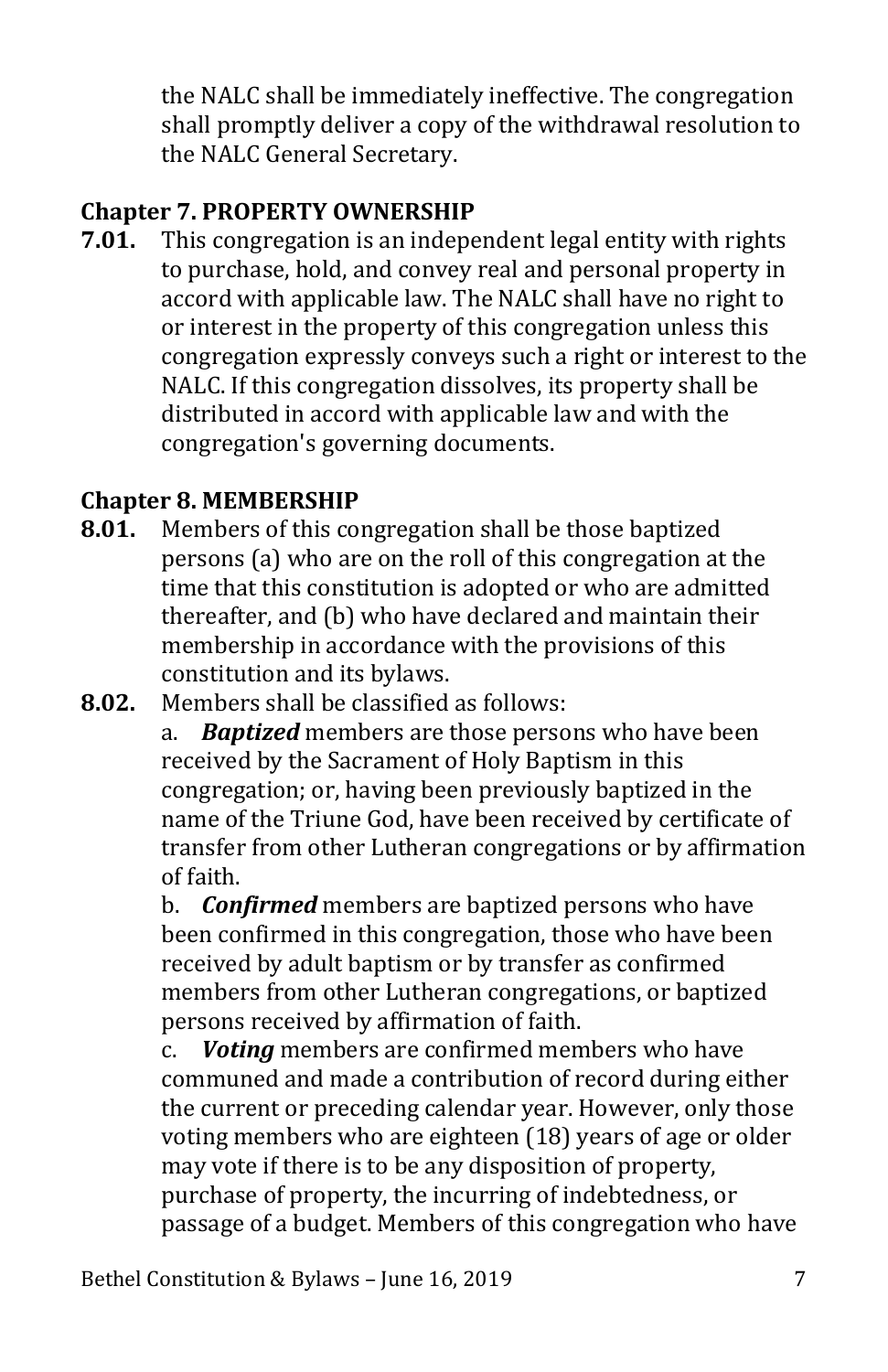the NALC shall be immediately ineffective. The congregation shall promptly deliver a copy of the withdrawal resolution to the NALC General Secretary.

# <span id="page-7-0"></span>**Chapter 7. PROPERTY OWNERSHIP**

**7.01.** This congregation is an independent legal entity with rights to purchase, hold, and convey real and personal property in accord with applicable law. The NALC shall have no right to or interest in the property of this congregation unless this congregation expressly conveys such a right or interest to the NALC. If this congregation dissolves, its property shall be distributed in accord with applicable law and with the congregation's governing documents.

# <span id="page-7-1"></span>**Chapter 8. MEMBERSHIP**

- **8.01.** Members of this congregation shall be those baptized persons (a) who are on the roll of this congregation at the time that this constitution is adopted or who are admitted thereafter, and (b) who have declared and maintain their membership in accordance with the provisions of this constitution and its bylaws.
- **8.02.** Members shall be classified as follows:<br>**8. Bantized** members are those person

**Baptized** members are those persons who have been received by the Sacrament of Holy Baptism in this congregation; or, having been previously baptized in the name of the Triune God, have been received by certificate of transfer from other Lutheran congregations or by affirmation of faith.

b. *Confirmed* members are baptized persons who have been confirmed in this congregation, those who have been received by adult baptism or by transfer as confirmed members from other Lutheran congregations, or baptized persons received by affirmation of faith.<br>c. **Voting** members are confirmed mem

**Voting** members are confirmed members who have communed and made a contribution of record during either the current or preceding calendar year. However, only those voting members who are eighteen (18) years of age or older may vote if there is to be any disposition of property, purchase of property, the incurring of indebtedness, or passage of a budget. Members of this congregation who have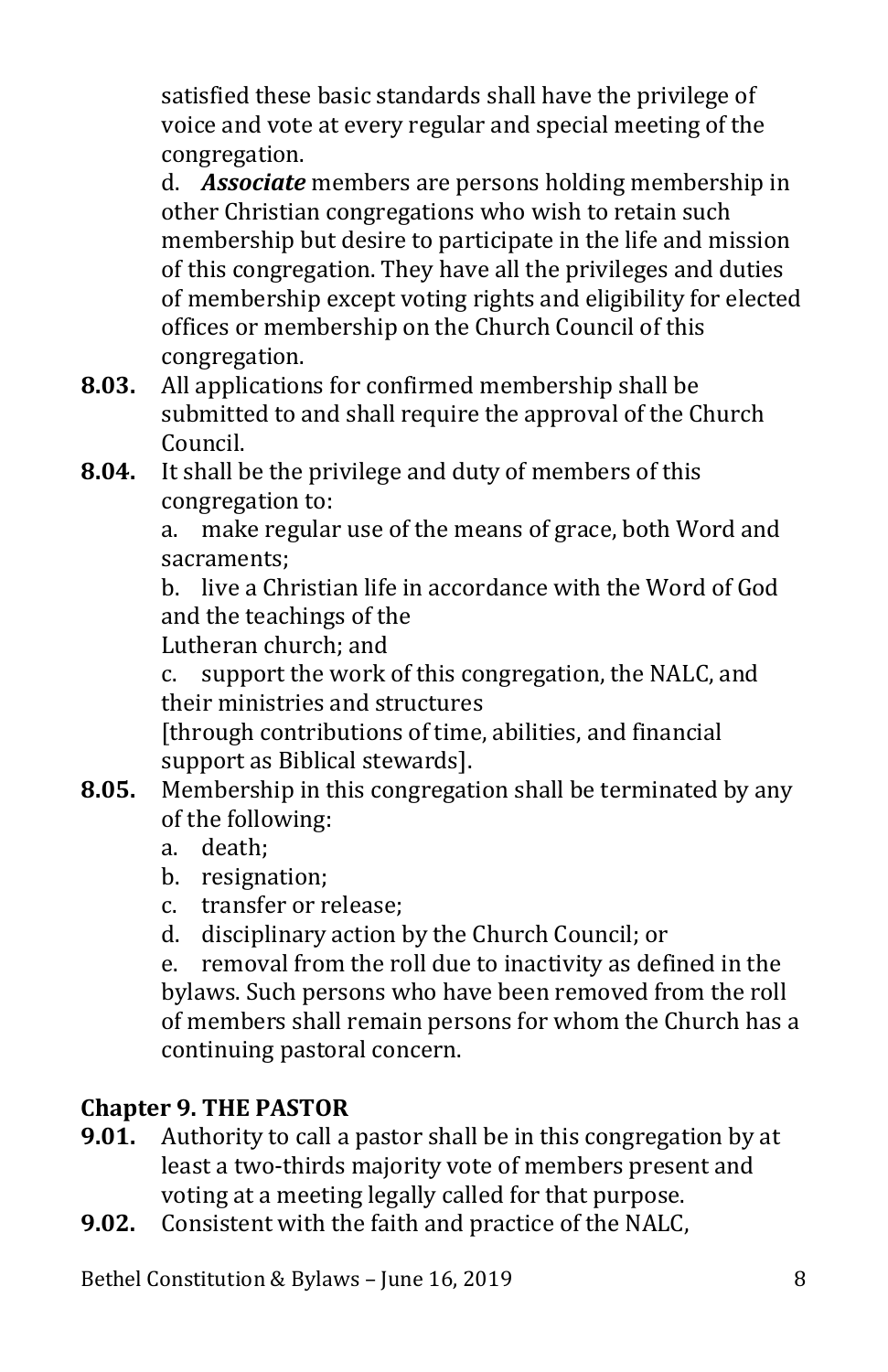satisfied these basic standards shall have the privilege of voice and vote at every regular and special meeting of the congregation.

d. *Associate* members are persons holding membership in other Christian congregations who wish to retain such membership but desire to participate in the life and mission of this congregation. They have all the privileges and duties of membership except voting rights and eligibility for elected offices or membership on the Church Council of this congregation.

- **8.03.** All applications for confirmed membership shall be submitted to and shall require the approval of the Church Council.
- **8.04.** It shall be the privilege and duty of members of this congregation to:<br>a. make regular

make regular use of the means of grace, both Word and sacraments;

b. live a Christian life in accordance with the Word of God and the teachings of the

Lutheran church; and

c. support the work of this congregation, the NALC, and their ministries and structures

[through contributions of time, abilities, and financial support as Biblical stewards].

- **8.05.** Membership in this congregation shall be terminated by any of the following:
	- a. death;
	- b. resignation;
	- c. transfer or release;
	- d. disciplinary action by the Church Council; or<br>e. removal from the roll due to inactivity as def

removal from the roll due to inactivity as defined in the bylaws. Such persons who have been removed from the roll of members shall remain persons for whom the Church has a continuing pastoral concern.

# <span id="page-8-0"></span>**Chapter 9. THE PASTOR**

- **9.01.** Authority to call a pastor shall be in this congregation by at least a two-thirds majority vote of members present and voting at a meeting legally called for that purpose.
- **9.02.** Consistent with the faith and practice of the NALC,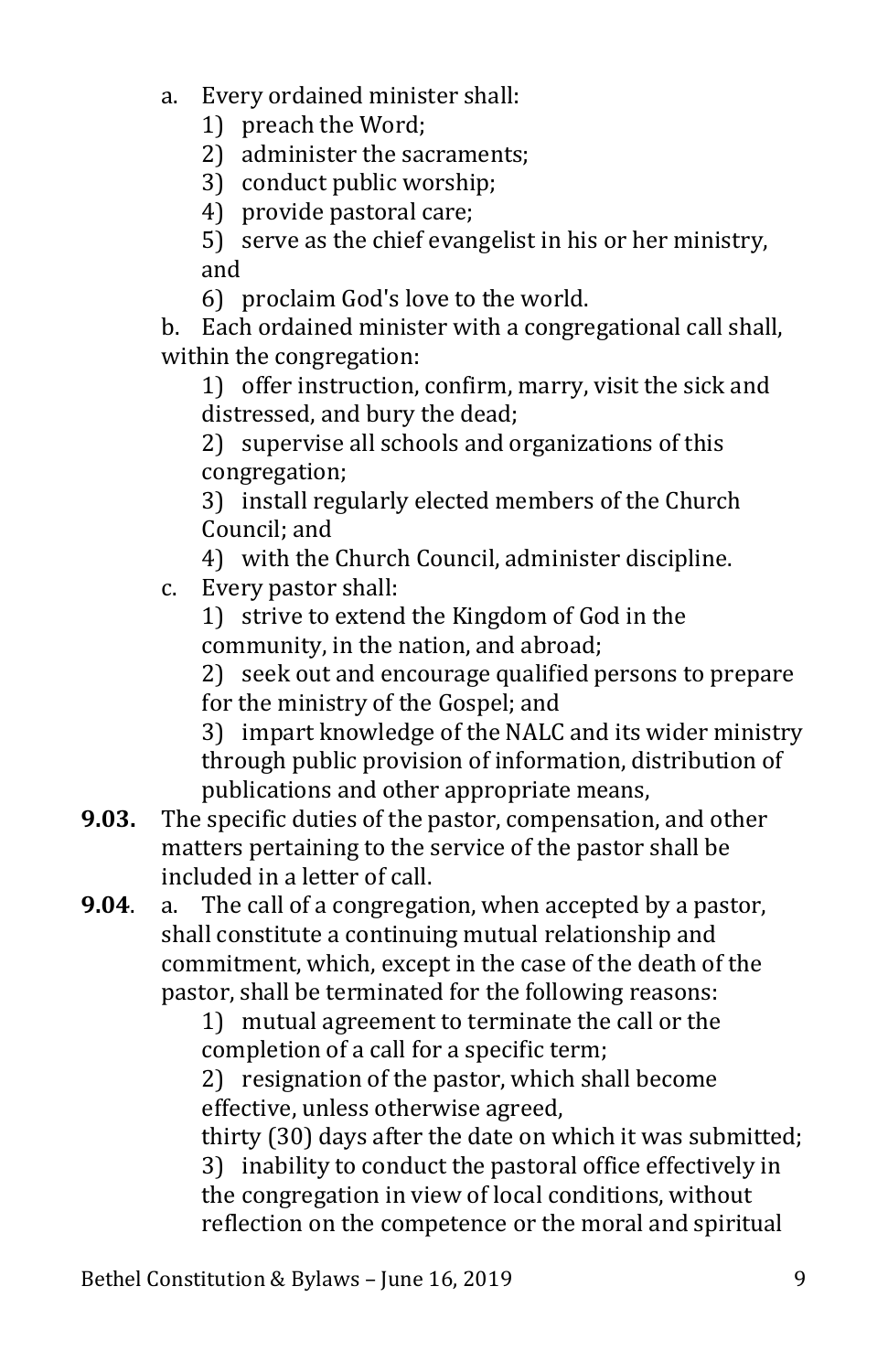- a. Every ordained minister shall:
	- 1) preach the Word;
	- 2) administer the sacraments;
	- 3) conduct public worship;
	- 4) provide pastoral care;
	- 5) serve as the chief evangelist in his or her ministry, and
	- 6) proclaim God's love to the world.

b. Each ordained minister with a congregational call shall, within the congregation:

1) offer instruction, confirm, marry, visit the sick and distressed, and bury the dead;

2) supervise all schools and organizations of this congregation;

3) install regularly elected members of the Church Council; and

4) with the Church Council, administer discipline.

c. Every pastor shall:

1) strive to extend the Kingdom of God in the community, in the nation, and abroad;

2) seek out and encourage qualified persons to prepare for the ministry of the Gospel; and

3) impart knowledge of the NALC and its wider ministry through public provision of information, distribution of publications and other appropriate means,

**9.03.** The specific duties of the pastor, compensation, and other matters pertaining to the service of the pastor shall be included in a letter of call.<br>a. The call of a congregat

**9.04**. a. The call of a congregation, when accepted by a pastor, shall constitute a continuing mutual relationship and commitment, which, except in the case of the death of the pastor, shall be terminated for the following reasons:

1) mutual agreement to terminate the call or the completion of a call for a specific term;

2) resignation of the pastor, which shall become effective, unless otherwise agreed,

thirty (30) days after the date on which it was submitted; 3) inability to conduct the pastoral office effectively in the congregation in view of local conditions, without reflection on the competence or the moral and spiritual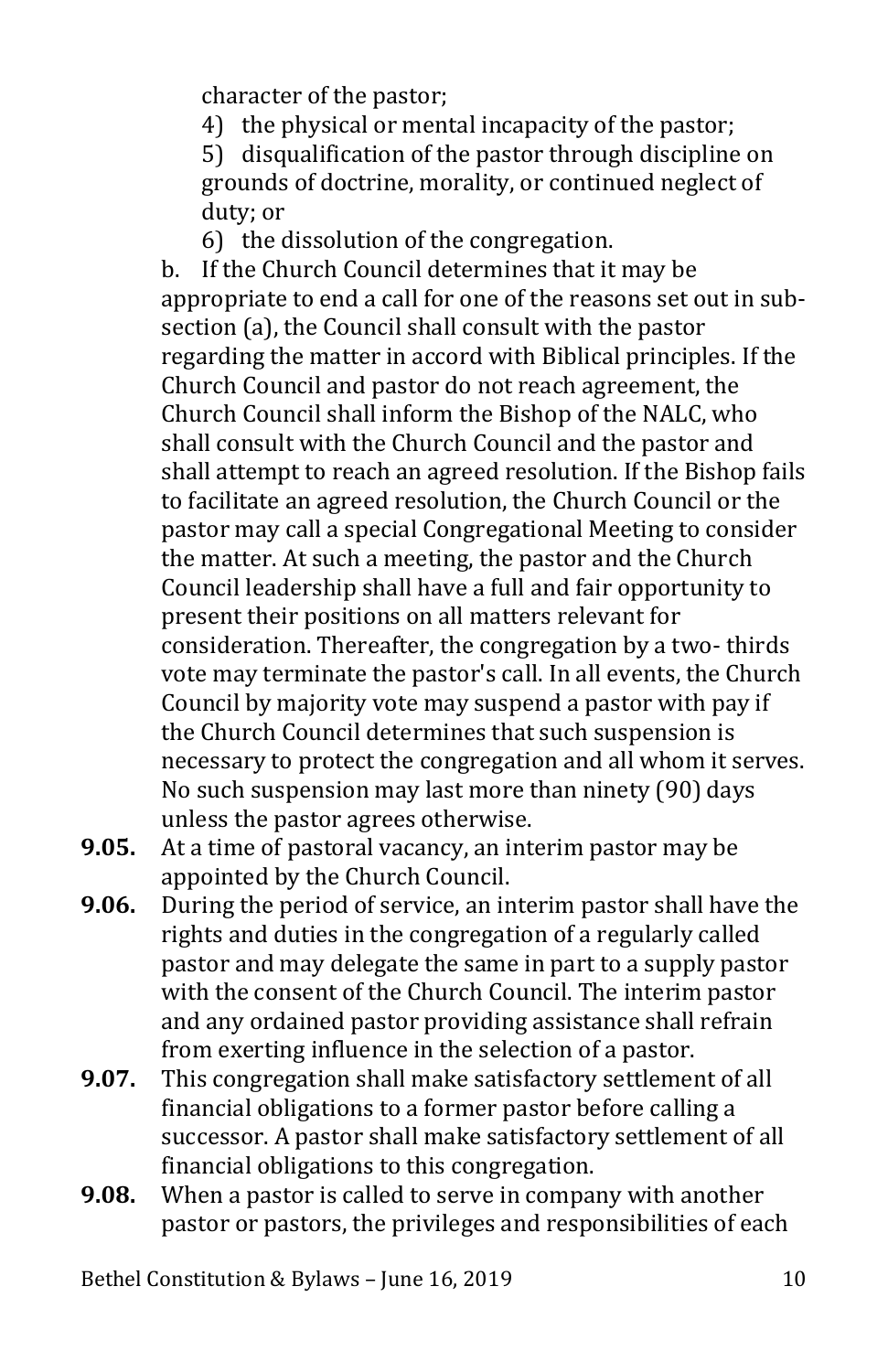character of the pastor;

4) the physical or mental incapacity of the pastor;

5) disqualification of the pastor through discipline on grounds of doctrine, morality, or continued neglect of duty; or

6) the dissolution of the congregation.

b. If the Church Council determines that it may be appropriate to end a call for one of the reasons set out in subsection (a), the Council shall consult with the pastor regarding the matter in accord with Biblical principles. If the Church Council and pastor do not reach agreement, the Church Council shall inform the Bishop of the NALC, who shall consult with the Church Council and the pastor and shall attempt to reach an agreed resolution. If the Bishop fails to facilitate an agreed resolution, the Church Council or the pastor may call a special Congregational Meeting to consider the matter. At such a meeting, the pastor and the Church Council leadership shall have a full and fair opportunity to present their positions on all matters relevant for consideration. Thereafter, the congregation by a two- thirds vote may terminate the pastor's call. In all events, the Church Council by majority vote may suspend a pastor with pay if the Church Council determines that such suspension is necessary to protect the congregation and all whom it serves. No such suspension may last more than ninety (90) days unless the pastor agrees otherwise.

- **9.05.** At a time of pastoral vacancy, an interim pastor may be appointed by the Church Council.
- **9.06.** During the period of service, an interim pastor shall have the rights and duties in the congregation of a regularly called pastor and may delegate the same in part to a supply pastor with the consent of the Church Council. The interim pastor and any ordained pastor providing assistance shall refrain from exerting influence in the selection of a pastor.
- **9.07.** This congregation shall make satisfactory settlement of all financial obligations to a former pastor before calling a successor. A pastor shall make satisfactory settlement of all financial obligations to this congregation.
- **9.08.** When a pastor is called to serve in company with another pastor or pastors, the privileges and responsibilities of each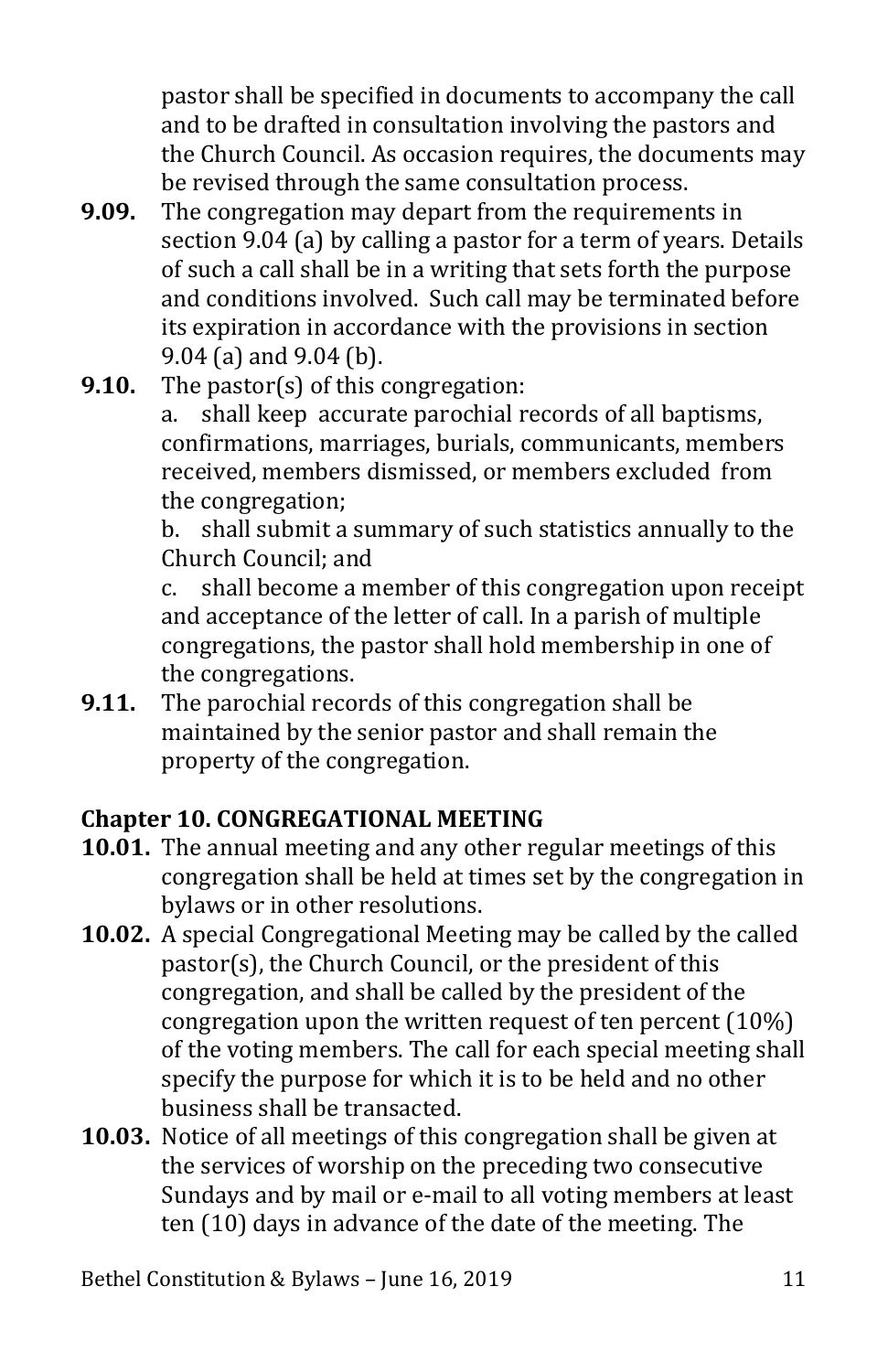pastor shall be specified in documents to accompany the call and to be drafted in consultation involving the pastors and the Church Council. As occasion requires, the documents may be revised through the same consultation process.

- **9.09.** The congregation may depart from the requirements in section 9.04 (a) by calling a pastor for a term of years. Details of such a call shall be in a writing that sets forth the purpose and conditions involved. Such call may be terminated before its expiration in accordance with the provisions in section 9.04 (a) and 9.04 (b).
- **9.10.** The pastor(s) of this congregation:<br>a. shall keep accurate parochial r

shall keep accurate parochial records of all baptisms, confirmations, marriages, burials, communicants, members received, members dismissed, or members excluded from the congregation;

b. shall submit a summary of such statistics annually to the Church Council; and<br>c. shall become a m

shall become a member of this congregation upon receipt and acceptance of the letter of call. In a parish of multiple congregations, the pastor shall hold membership in one of the congregations.

**9.11.** The parochial records of this congregation shall be maintained by the senior pastor and shall remain the property of the congregation.

# <span id="page-11-0"></span>**Chapter 10. CONGREGATIONAL MEETING**

- **10.01.** The annual meeting and any other regular meetings of this congregation shall be held at times set by the congregation in bylaws or in other resolutions.
- **10.02.** A special Congregational Meeting may be called by the called pastor(s), the Church Council, or the president of this congregation, and shall be called by the president of the congregation upon the written request of ten percent (10%) of the voting members. The call for each special meeting shall specify the purpose for which it is to be held and no other business shall be transacted.
- **10.03.** Notice of all meetings of this congregation shall be given at the services of worship on the preceding two consecutive Sundays and by mail or e-mail to all voting members at least ten (10) days in advance of the date of the meeting. The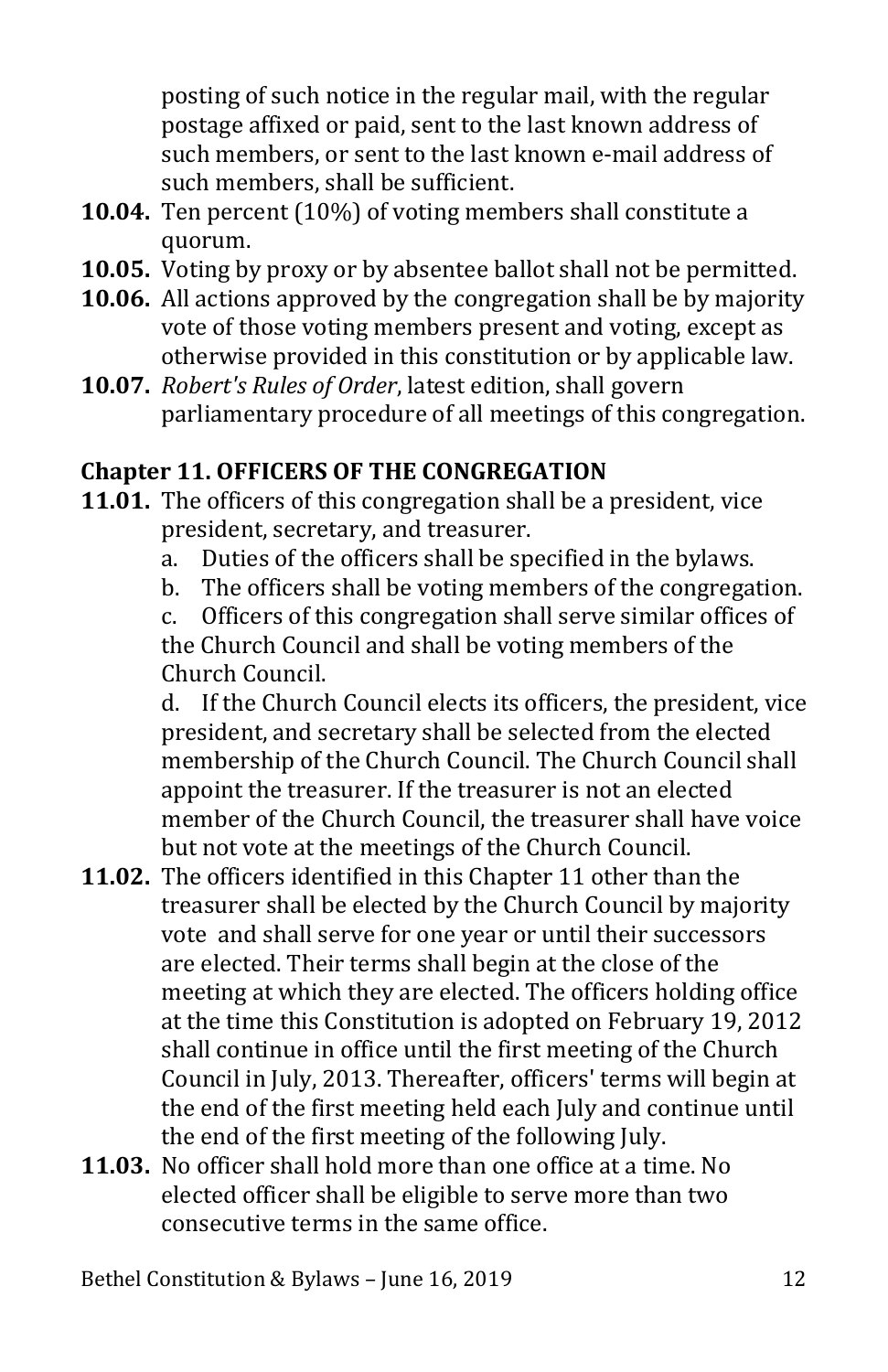posting of such notice in the regular mail, with the regular postage affixed or paid, sent to the last known address of such members, or sent to the last known e-mail address of such members, shall be sufficient.

- **10.04.** Ten percent (10%) of voting members shall constitute a quorum.
- **10.05.** Voting by proxy or by absentee ballot shall not be permitted.
- **10.06.** All actions approved by the congregation shall be by majority vote of those voting members present and voting, except as otherwise provided in this constitution or by applicable law.
- **10.07.** *Robert's Rules of Order*, latest edition, shall govern parliamentary procedure of all meetings of this congregation.

## <span id="page-12-0"></span>**Chapter 11. OFFICERS OF THE CONGREGATION**

- **11.01.** The officers of this congregation shall be a president, vice president, secretary, and treasurer.<br>a. Duties of the officers shall be sp
	- a. Duties of the officers shall be specified in the bylaws.
	- b. The officers shall be voting members of the congregation.<br>c. Officers of this congregation shall serve similar offices of

Officers of this congregation shall serve similar offices of the Church Council and shall be voting members of the Church Council.<br>d. If the Church

If the Church Council elects its officers, the president, vice president, and secretary shall be selected from the elected membership of the Church Council. The Church Council shall appoint the treasurer. If the treasurer is not an elected member of the Church Council, the treasurer shall have voice but not vote at the meetings of the Church Council.

- **11.02.** The officers identified in this Chapter 11 other than the treasurer shall be elected by the Church Council by majority vote and shall serve for one year or until their successors are elected. Their terms shall begin at the close of the meeting at which they are elected. The officers holding office at the time this Constitution is adopted on February 19, 2012 shall continue in office until the first meeting of the Church Council in July, 2013. Thereafter, officers' terms will begin at the end of the first meeting held each July and continue until the end of the first meeting of the following July.
- **11.03.** No officer shall hold more than one office at a time. No elected officer shall be eligible to serve more than two consecutive terms in the same office.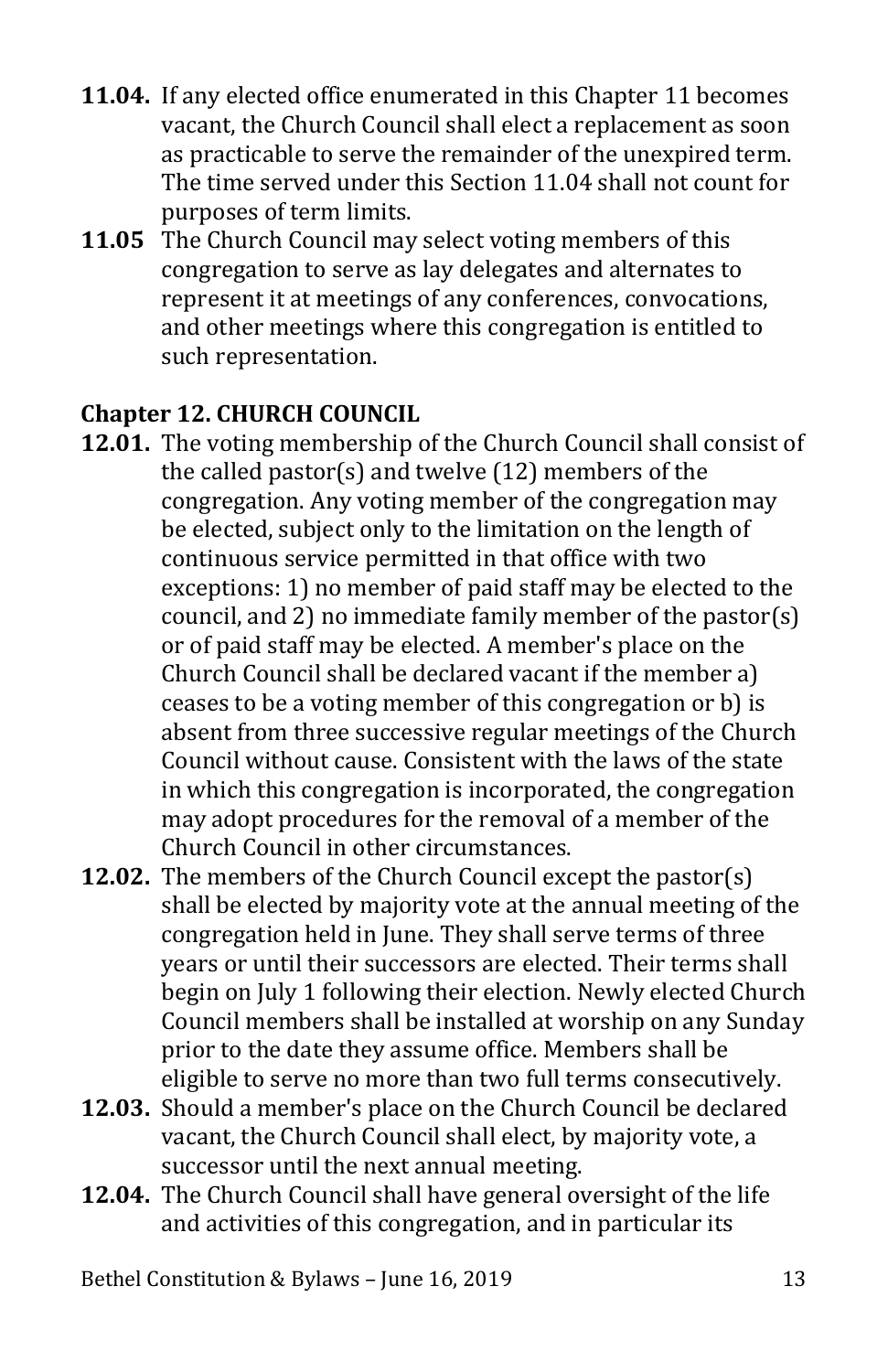- **11.04.** If any elected office enumerated in this Chapter 11 becomes vacant, the Church Council shall elect a replacement as soon as practicable to serve the remainder of the unexpired term. The time served under this Section 11.04 shall not count for purposes of term limits.
- **11.05** The Church Council may select voting members of this congregation to serve as lay delegates and alternates to represent it at meetings of any conferences, convocations, and other meetings where this congregation is entitled to such representation.

# <span id="page-13-0"></span>**Chapter 12. CHURCH COUNCIL**

- **12.01.** The voting membership of the Church Council shall consist of the called pastor(s) and twelve (12) members of the congregation. Any voting member of the congregation may be elected, subject only to the limitation on the length of continuous service permitted in that office with two exceptions: 1) no member of paid staff may be elected to the council, and 2) no immediate family member of the pastor(s) or of paid staff may be elected. A member's place on the Church Council shall be declared vacant if the member a) ceases to be a voting member of this congregation or b) is absent from three successive regular meetings of the Church Council without cause. Consistent with the laws of the state in which this congregation is incorporated, the congregation may adopt procedures for the removal of a member of the Church Council in other circumstances.
- **12.02.** The members of the Church Council except the pastor(s) shall be elected by majority vote at the annual meeting of the congregation held in June. They shall serve terms of three years or until their successors are elected. Their terms shall begin on July 1 following their election. Newly elected Church Council members shall be installed at worship on any Sunday prior to the date they assume office. Members shall be eligible to serve no more than two full terms consecutively.
- **12.03.** Should a member's place on the Church Council be declared vacant, the Church Council shall elect, by majority vote, a successor until the next annual meeting.
- **12.04.** The Church Council shall have general oversight of the life and activities of this congregation, and in particular its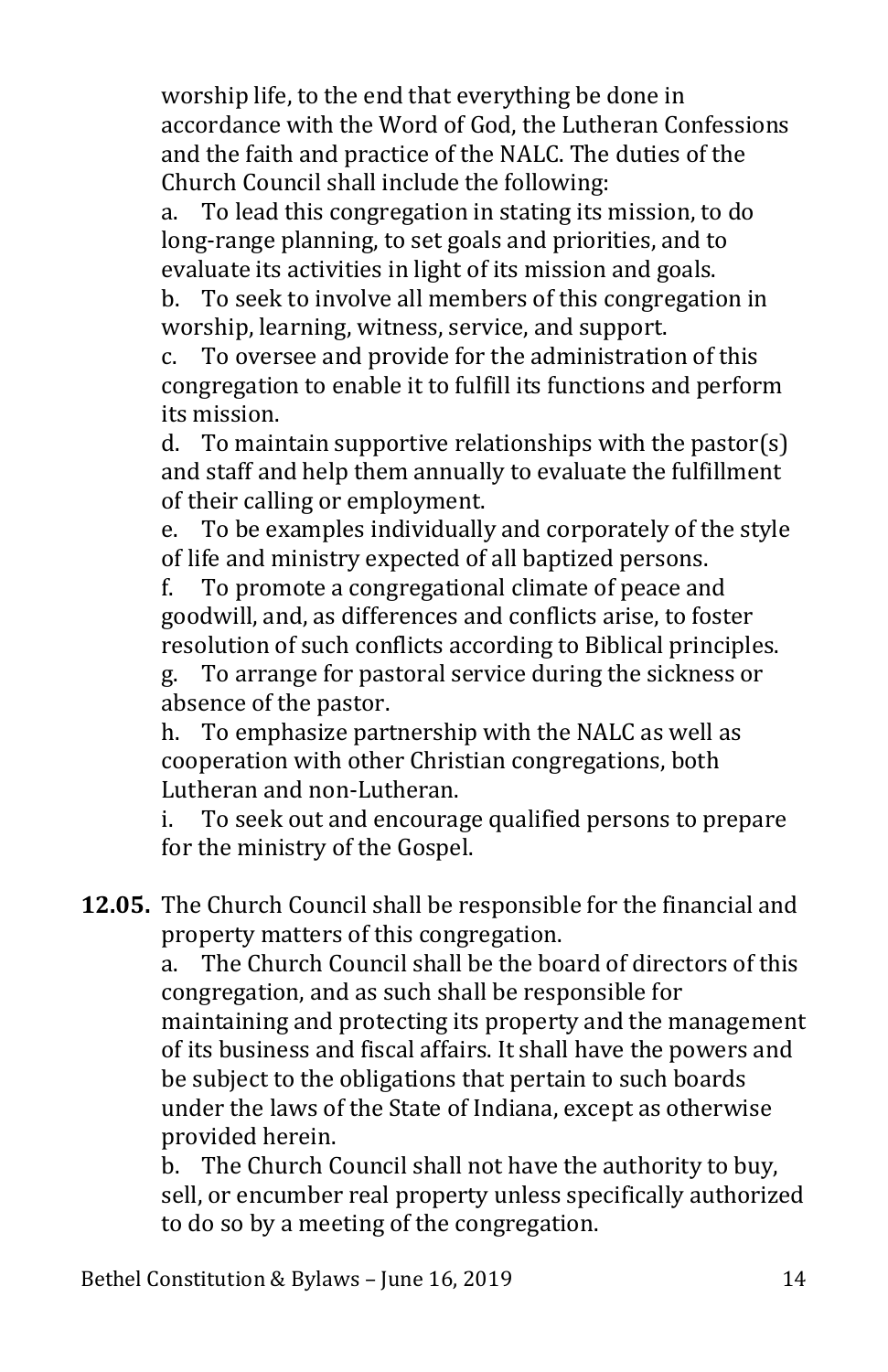worship life, to the end that everything be done in accordance with the Word of God, the Lutheran Confessions and the faith and practice of the NALC. The duties of the Church Council shall include the following:

a. To lead this congregation in stating its mission, to do long-range planning, to set goals and priorities, and to evaluate its activities in light of its mission and goals.<br>b. To seek to involve all members of this congregation

b. To seek to involve all members of this congregation in worship, learning, witness, service, and support.<br>c. To oversee and provide for the administration

To oversee and provide for the administration of this congregation to enable it to fulfill its functions and perform its mission.<br>d. To main

To maintain supportive relationships with the pastor(s) and staff and help them annually to evaluate the fulfillment of their calling or employment.<br>e. To be examples individually

To be examples individually and corporately of the style of life and ministry expected of all baptized persons.<br>f. To promote a congregational climate of peace an

To promote a congregational climate of peace and goodwill, and, as differences and conflicts arise, to foster resolution of such conflicts according to Biblical principles.<br>g. To arrange for pastoral service during the sickness or

To arrange for pastoral service during the sickness or absence of the pastor.<br>h. To emphasize part

To emphasize partnership with the NALC as well as cooperation with other Christian congregations, both Lutheran and non-Lutheran.<br>i. To seek out and encourar

To seek out and encourage qualified persons to prepare for the ministry of the Gospel.

**12.05.** The Church Council shall be responsible for the financial and property matters of this congregation.<br>a. The Church Council shall be the bo

The Church Council shall be the board of directors of this congregation, and as such shall be responsible for maintaining and protecting its property and the management of its business and fiscal affairs. It shall have the powers and be subject to the obligations that pertain to such boards under the laws of the State of Indiana, except as otherwise provided herein.

b. The Church Council shall not have the authority to buy, sell, or encumber real property unless specifically authorized to do so by a meeting of the congregation.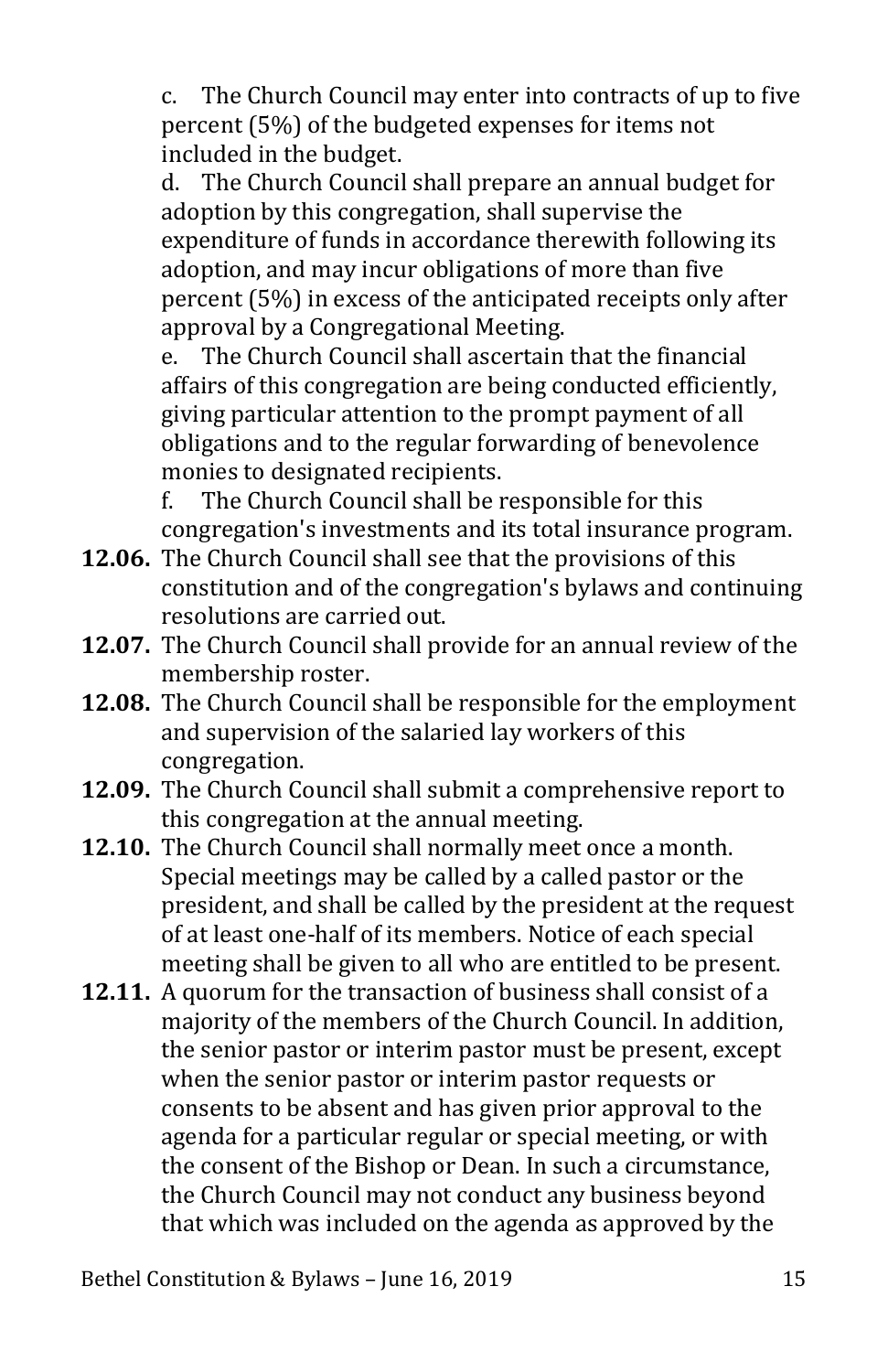c. The Church Council may enter into contracts of up to five percent (5%) of the budgeted expenses for items not included in the budget.<br>d. The Church Council

The Church Council shall prepare an annual budget for adoption by this congregation, shall supervise the expenditure of funds in accordance therewith following its adoption, and may incur obligations of more than five percent (5%) in excess of the anticipated receipts only after approval by a Congregational Meeting.<br>e. The Church Council shall ascertain

The Church Council shall ascertain that the financial affairs of this congregation are being conducted efficiently, giving particular attention to the prompt payment of all obligations and to the regular forwarding of benevolence monies to designated recipients.

f. The Church Council shall be responsible for this congregation's investments and its total insurance program.

- **12.06.** The Church Council shall see that the provisions of this constitution and of the congregation's bylaws and continuing resolutions are carried out.
- **12.07.** The Church Council shall provide for an annual review of the membership roster.
- **12.08.** The Church Council shall be responsible for the employment and supervision of the salaried lay workers of this congregation.
- **12.09.** The Church Council shall submit a comprehensive report to this congregation at the annual meeting.
- **12.10.** The Church Council shall normally meet once a month. Special meetings may be called by a called pastor or the president, and shall be called by the president at the request of at least one-half of its members. Notice of each special meeting shall be given to all who are entitled to be present.
- **12.11.** A quorum for the transaction of business shall consist of a majority of the members of the Church Council. In addition, the senior pastor or interim pastor must be present, except when the senior pastor or interim pastor requests or consents to be absent and has given prior approval to the agenda for a particular regular or special meeting, or with the consent of the Bishop or Dean. In such a circumstance, the Church Council may not conduct any business beyond that which was included on the agenda as approved by the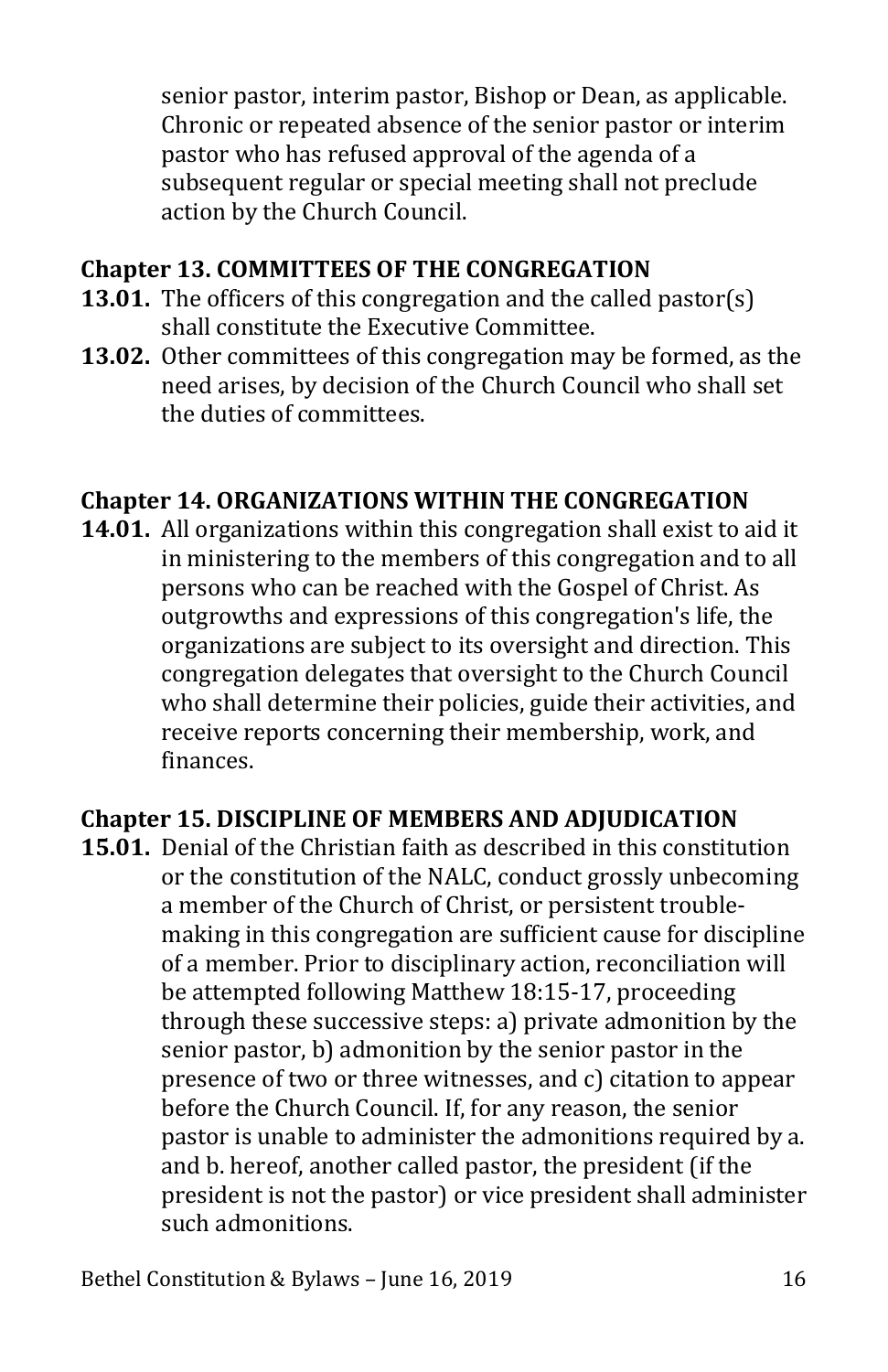senior pastor, interim pastor, Bishop or Dean, as applicable. Chronic or repeated absence of the senior pastor or interim pastor who has refused approval of the agenda of a subsequent regular or special meeting shall not preclude action by the Church Council.

## <span id="page-16-0"></span>**Chapter 13. COMMITTEES OF THE CONGREGATION**

- **13.01.** The officers of this congregation and the called pastor(s) shall constitute the Executive Committee.
- **13.02.** Other committees of this congregation may be formed, as the need arises, by decision of the Church Council who shall set the duties of committees.

#### <span id="page-16-1"></span>**Chapter 14. ORGANIZATIONS WITHIN THE CONGREGATION**

**14.01.** All organizations within this congregation shall exist to aid it in ministering to the members of this congregation and to all persons who can be reached with the Gospel of Christ. As outgrowths and expressions of this congregation's life, the organizations are subject to its oversight and direction. This congregation delegates that oversight to the Church Council who shall determine their policies, guide their activities, and receive reports concerning their membership, work, and finances.

## <span id="page-16-2"></span>**Chapter 15. DISCIPLINE OF MEMBERS AND ADJUDICATION**

**15.01.** Denial of the Christian faith as described in this constitution or the constitution of the NALC, conduct grossly unbecoming a member of the Church of Christ, or persistent troublemaking in this congregation are sufficient cause for discipline of a member. Prior to disciplinary action, reconciliation will be attempted following Matthew 18:15-17, proceeding through these successive steps: a) private admonition by the senior pastor, b) admonition by the senior pastor in the presence of two or three witnesses, and c) citation to appear before the Church Council. If, for any reason, the senior pastor is unable to administer the admonitions required by a. and b. hereof, another called pastor, the president (if the president is not the pastor) or vice president shall administer such admonitions.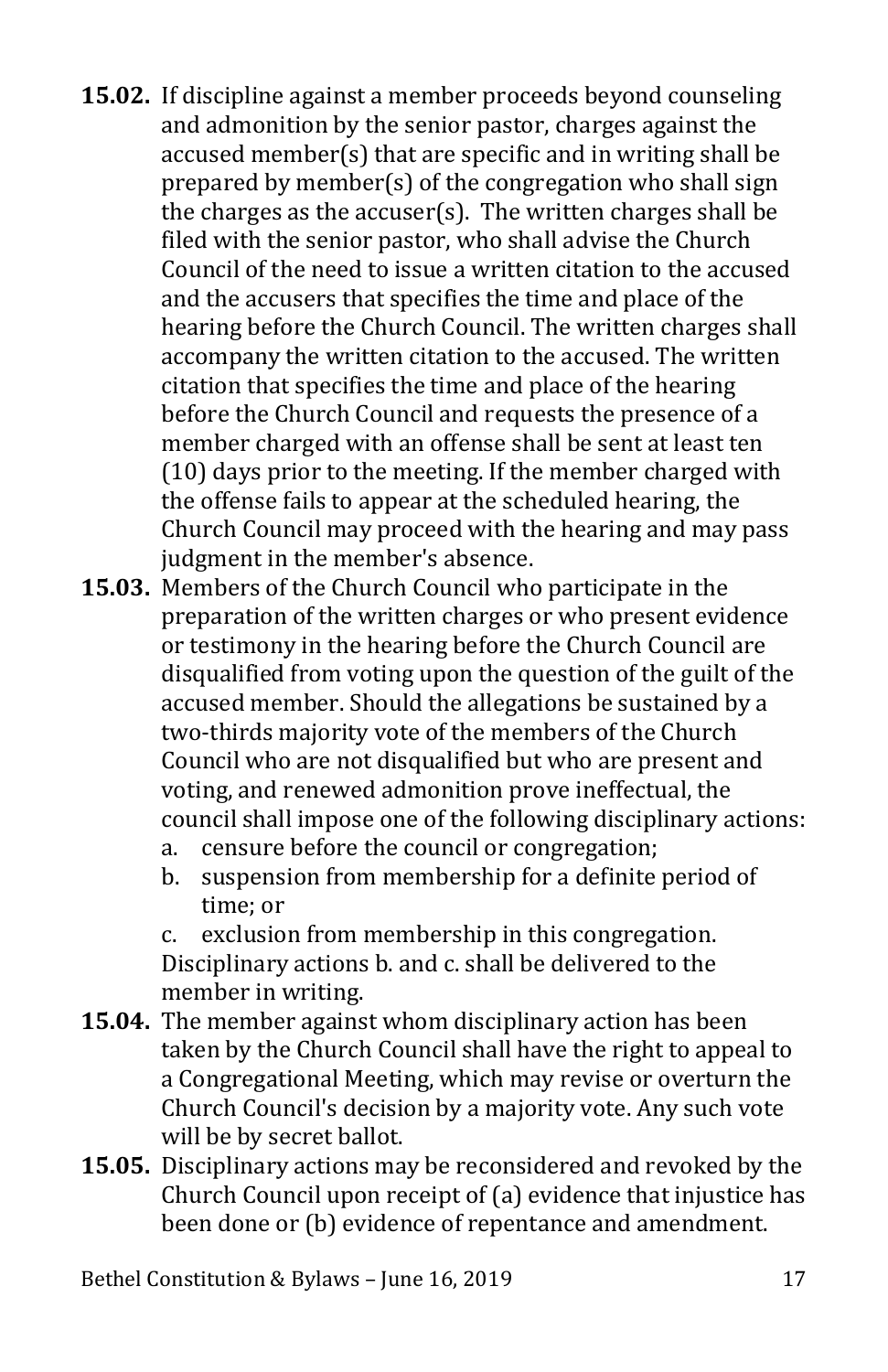- **15.02.** If discipline against a member proceeds beyond counseling and admonition by the senior pastor, charges against the accused member(s) that are specific and in writing shall be prepared by member(s) of the congregation who shall sign the charges as the accuser(s). The written charges shall be filed with the senior pastor, who shall advise the Church Council of the need to issue a written citation to the accused and the accusers that specifies the time and place of the hearing before the Church Council. The written charges shall accompany the written citation to the accused. The written citation that specifies the time and place of the hearing before the Church Council and requests the presence of a member charged with an offense shall be sent at least ten (10) days prior to the meeting. If the member charged with the offense fails to appear at the scheduled hearing, the Church Council may proceed with the hearing and may pass judgment in the member's absence.
- **15.03.** Members of the Church Council who participate in the preparation of the written charges or who present evidence or testimony in the hearing before the Church Council are disqualified from voting upon the question of the guilt of the accused member. Should the allegations be sustained by a two-thirds majority vote of the members of the Church Council who are not disqualified but who are present and voting, and renewed admonition prove ineffectual, the council shall impose one of the following disciplinary actions:
	- a. censure before the council or congregation;
	- suspension from membership for a definite period of time; or

c. exclusion from membership in this congregation. Disciplinary actions b. and c. shall be delivered to the member in writing.

- **15.04.** The member against whom disciplinary action has been taken by the Church Council shall have the right to appeal to a Congregational Meeting, which may revise or overturn the Church Council's decision by a majority vote. Any such vote will be by secret ballot.
- **15.05.** Disciplinary actions may be reconsidered and revoked by the Church Council upon receipt of (a) evidence that injustice has been done or (b) evidence of repentance and amendment.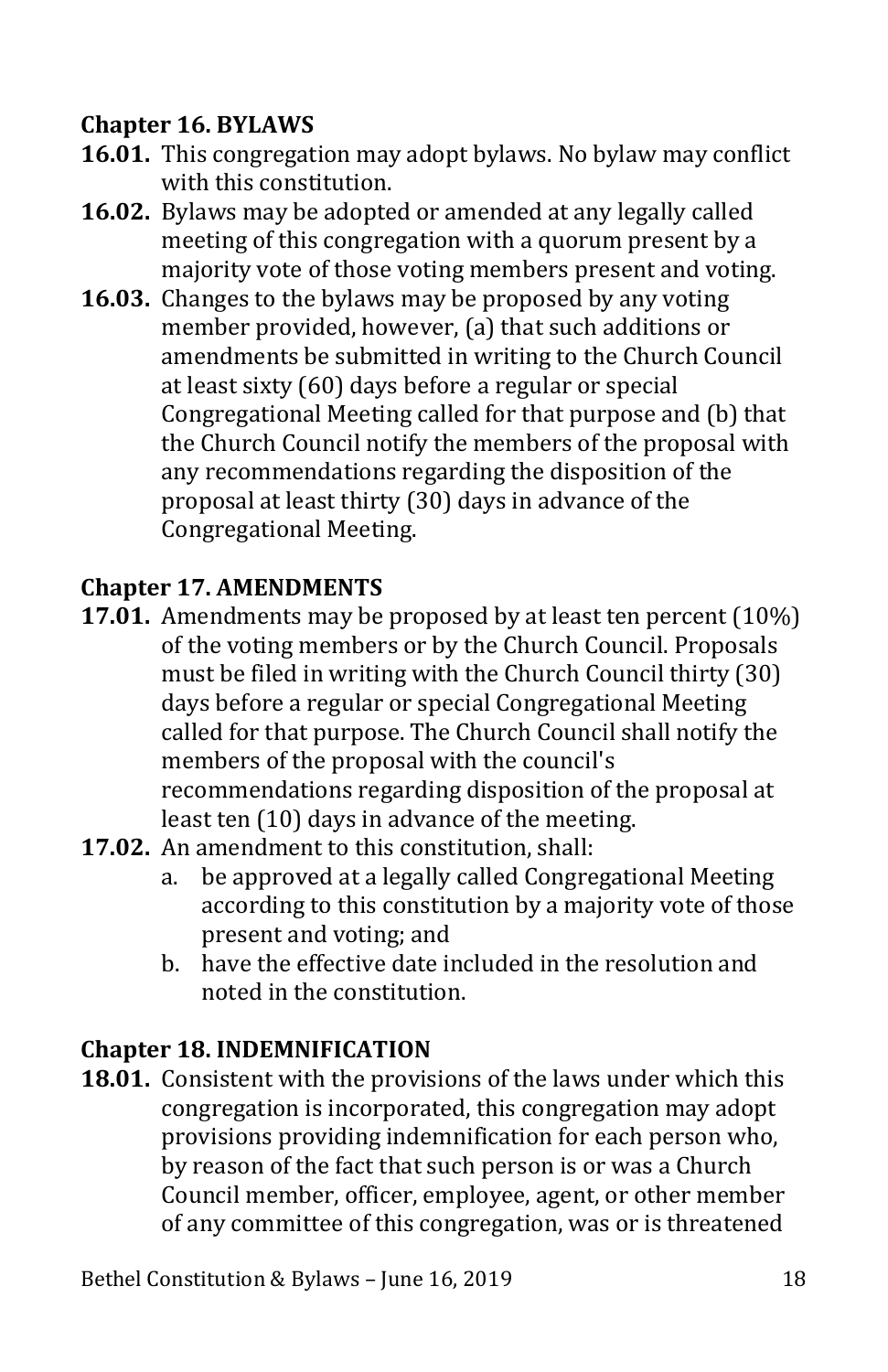# <span id="page-18-0"></span>**Chapter 16. BYLAWS**

- **16.01.** This congregation may adopt bylaws. No bylaw may conflict with this constitution.
- **16.02.** Bylaws may be adopted or amended at any legally called meeting of this congregation with a quorum present by a majority vote of those voting members present and voting.
- **16.03.** Changes to the bylaws may be proposed by any voting member provided, however, (a) that such additions or amendments be submitted in writing to the Church Council at least sixty (60) days before a regular or special Congregational Meeting called for that purpose and (b) that the Church Council notify the members of the proposal with any recommendations regarding the disposition of the proposal at least thirty (30) days in advance of the Congregational Meeting.

## <span id="page-18-1"></span>**Chapter 17. AMENDMENTS**

- **17.01.** Amendments may be proposed by at least ten percent (10%) of the voting members or by the Church Council. Proposals must be filed in writing with the Church Council thirty (30) days before a regular or special Congregational Meeting called for that purpose. The Church Council shall notify the members of the proposal with the council's recommendations regarding disposition of the proposal at least ten (10) days in advance of the meeting.
- **17.02.** An amendment to this constitution, shall:<br>a. be approved at a legally called Congre
	- be approved at a legally called Congregational Meeting according to this constitution by a majority vote of those present and voting; and
	- b. have the effective date included in the resolution and noted in the constitution.

## <span id="page-18-2"></span>**Chapter 18. INDEMNIFICATION**

**18.01.** Consistent with the provisions of the laws under which this congregation is incorporated, this congregation may adopt provisions providing indemnification for each person who, by reason of the fact that such person is or was a Church Council member, officer, employee, agent, or other member of any committee of this congregation, was or is threatened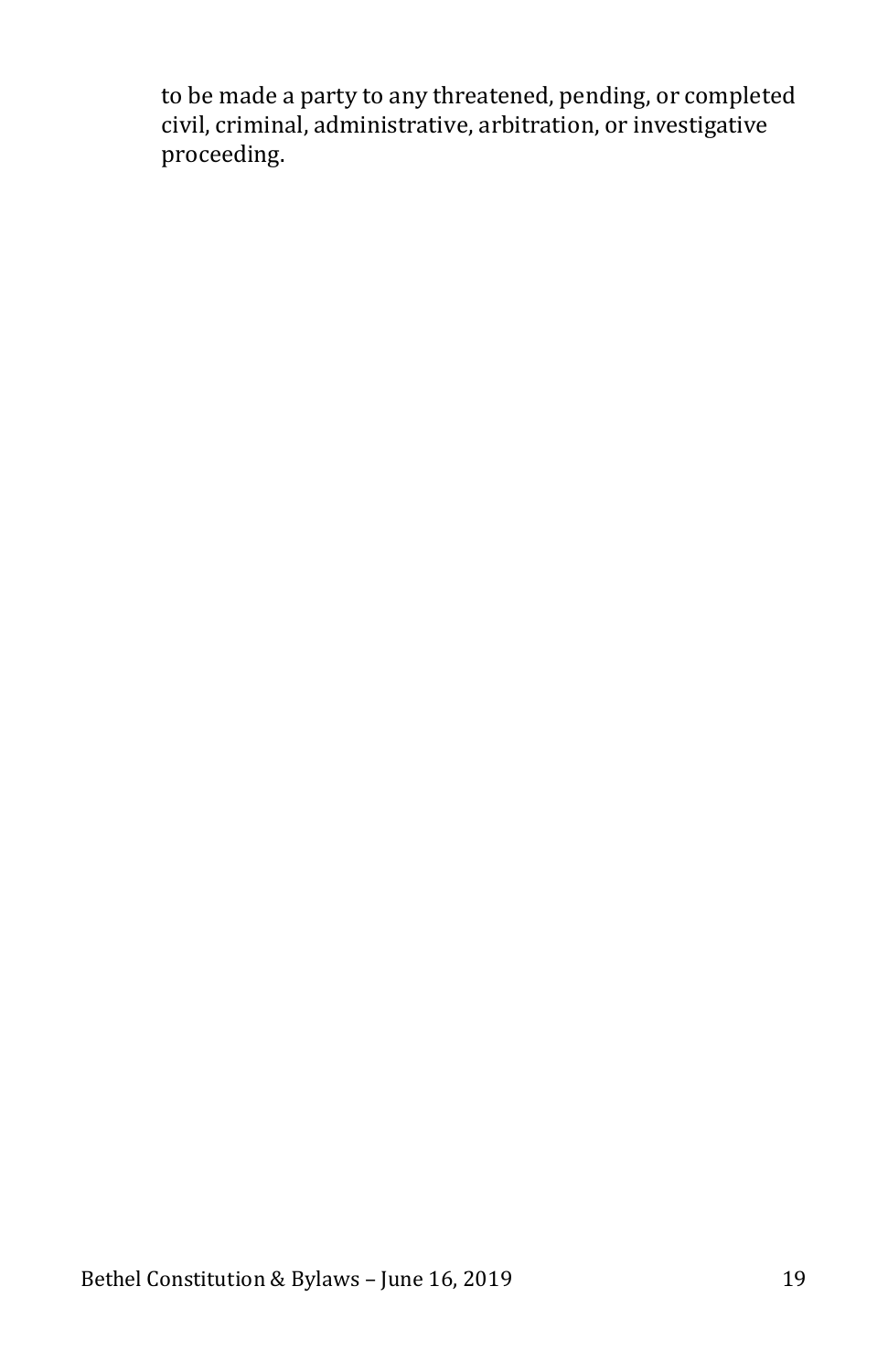to be made a party to any threatened, pending, or completed civil, criminal, administrative, arbitration, or investigative proceeding.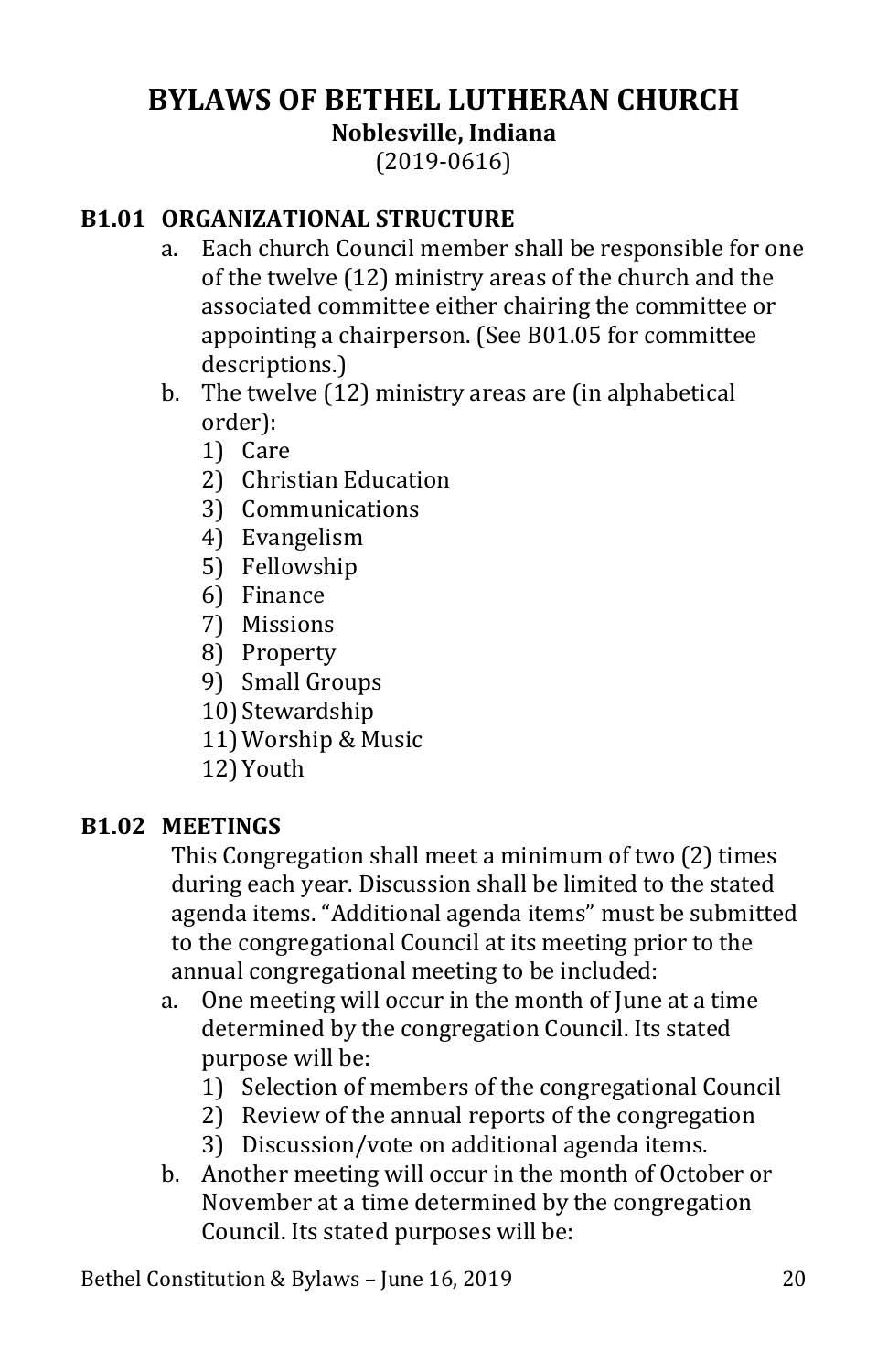# <span id="page-20-0"></span>**BYLAWS OF BETHEL LUTHERAN CHURCH Noblesville, Indiana** (2019-0616)

#### <span id="page-20-1"></span>**B1.01 ORGANIZATIONAL STRUCTURE**

- a. Each church Council member shall be responsible for one of the twelve (12) ministry areas of the church and the associated committee either chairing the committee or appointing a chairperson. (See B01.05 for committee descriptions.)
- b. The twelve (12) ministry areas are (in alphabetical order):
	- 1) Care
	- 2) Christian Education
	- 3) Communications
	- 4) Evangelism
	- 5) Fellowship
	- 6) Finance
	- 7) Missions
	- 8) Property
	- 9) Small Groups
	- 10) Stewardship
	- 11)Worship & Music
	- 12)Youth

#### <span id="page-20-2"></span>**B1.02 MEETINGS**

This Congregation shall meet a minimum of two (2) times during each year. Discussion shall be limited to the stated agenda items. "Additional agenda items" must be submitted to the congregational Council at its meeting prior to the annual congregational meeting to be included:

- a. One meeting will occur in the month of June at a time determined by the congregation Council. Its stated purpose will be:
	- 1) Selection of members of the congregational Council
	- 2) Review of the annual reports of the congregation
	- 3) Discussion/vote on additional agenda items.
- b. Another meeting will occur in the month of October or November at a time determined by the congregation Council. Its stated purposes will be: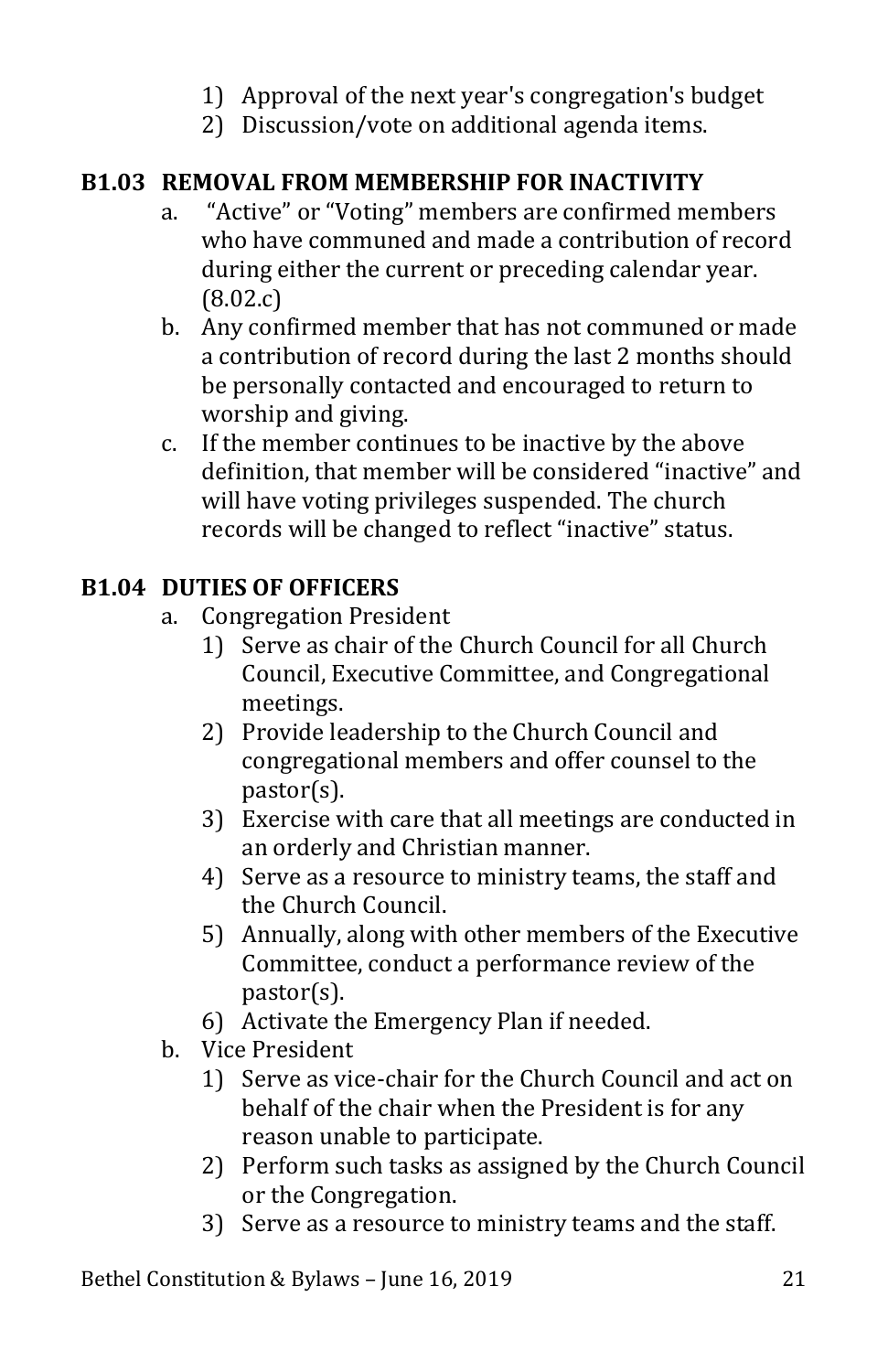- 1) Approval of the next year's congregation's budget
- 2) Discussion/vote on additional agenda items.

## <span id="page-21-0"></span>**B1.03 REMOVAL FROM MEMBERSHIP FOR INACTIVITY**

- a. "Active" or "Voting" members are confirmed members who have communed and made a contribution of record during either the current or preceding calendar year. (8.02.c)
- b. Any confirmed member that has not communed or made a contribution of record during the last 2 months should be personally contacted and encouraged to return to worship and giving.
- c. If the member continues to be inactive by the above definition, that member will be considered "inactive" and will have voting privileges suspended. The church records will be changed to reflect "inactive" status.

## <span id="page-21-1"></span>**B1.04 DUTIES OF OFFICERS**

- a. Congregation President
	- 1) Serve as chair of the Church Council for all Church Council, Executive Committee, and Congregational meetings.
	- 2) Provide leadership to the Church Council and congregational members and offer counsel to the pastor(s).
	- 3) Exercise with care that all meetings are conducted in an orderly and Christian manner.
	- 4) Serve as a resource to ministry teams, the staff and the Church Council.
	- 5) Annually, along with other members of the Executive Committee, conduct a performance review of the pastor(s).
	- 6) Activate the Emergency Plan if needed.
- b. Vice President
	- 1) Serve as vice-chair for the Church Council and act on behalf of the chair when the President is for any reason unable to participate.
	- 2) Perform such tasks as assigned by the Church Council or the Congregation.
	- 3) Serve as a resource to ministry teams and the staff.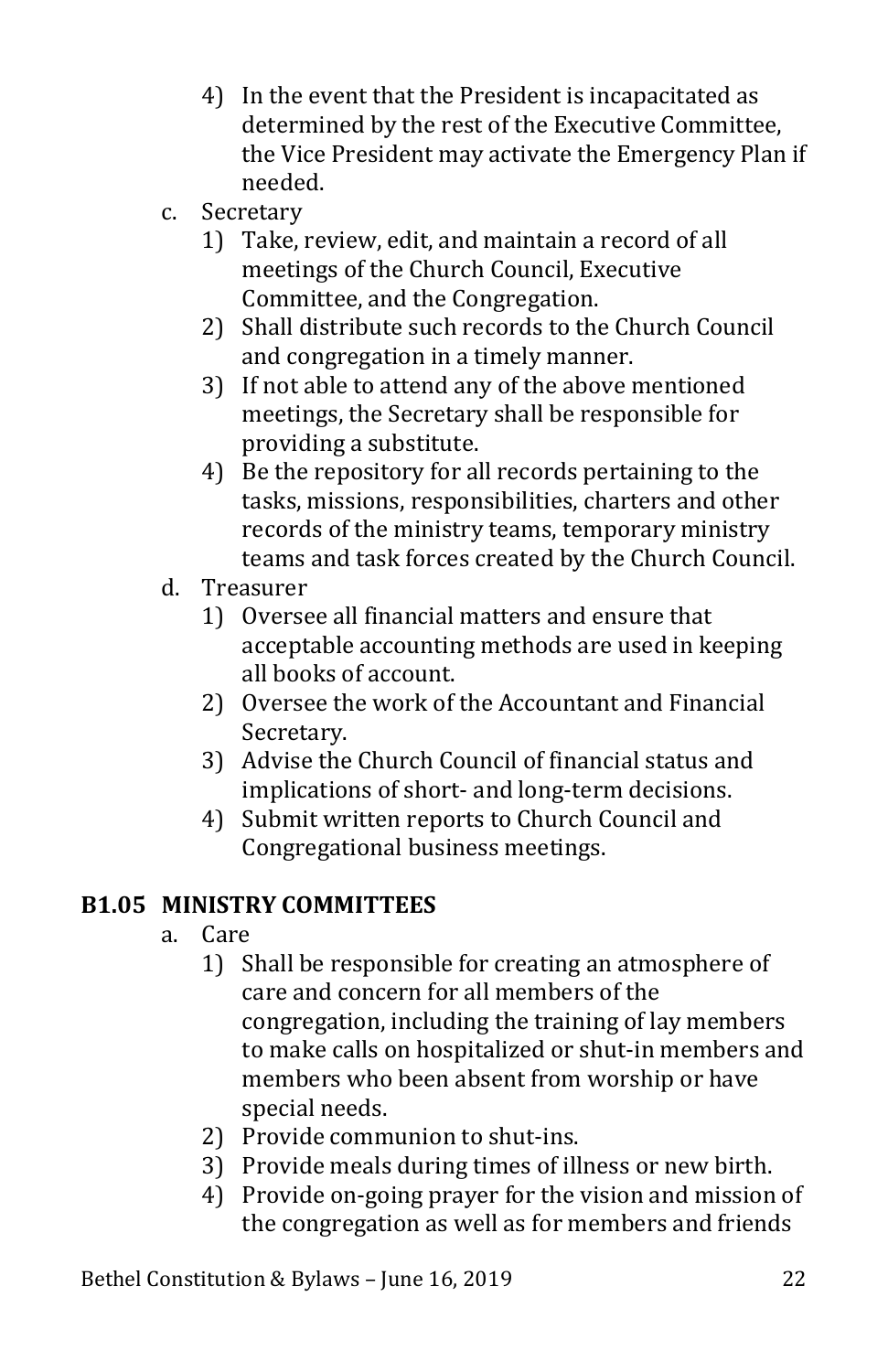- 4) In the event that the President is incapacitated as determined by the rest of the Executive Committee, the Vice President may activate the Emergency Plan if needed.
- c. Secretary
	- 1) Take, review, edit, and maintain a record of all meetings of the Church Council, Executive Committee, and the Congregation.
	- 2) Shall distribute such records to the Church Council and congregation in a timely manner.
	- 3) If not able to attend any of the above mentioned meetings, the Secretary shall be responsible for providing a substitute.
	- 4) Be the repository for all records pertaining to the tasks, missions, responsibilities, charters and other records of the ministry teams, temporary ministry teams and task forces created by the Church Council.
- d. Treasurer
	- 1) Oversee all financial matters and ensure that acceptable accounting methods are used in keeping all books of account.
	- 2) Oversee the work of the Accountant and Financial Secretary.
	- 3) Advise the Church Council of financial status and implications of short- and long-term decisions.
	- 4) Submit written reports to Church Council and Congregational business meetings.

# <span id="page-22-0"></span>**B1.05 MINISTRY COMMITTEES**

- a. Care
	- 1) Shall be responsible for creating an atmosphere of care and concern for all members of the congregation, including the training of lay members to make calls on hospitalized or shut-in members and members who been absent from worship or have special needs.
	- 2) Provide communion to shut-ins.
	- 3) Provide meals during times of illness or new birth.
	- 4) Provide on-going prayer for the vision and mission of the congregation as well as for members and friends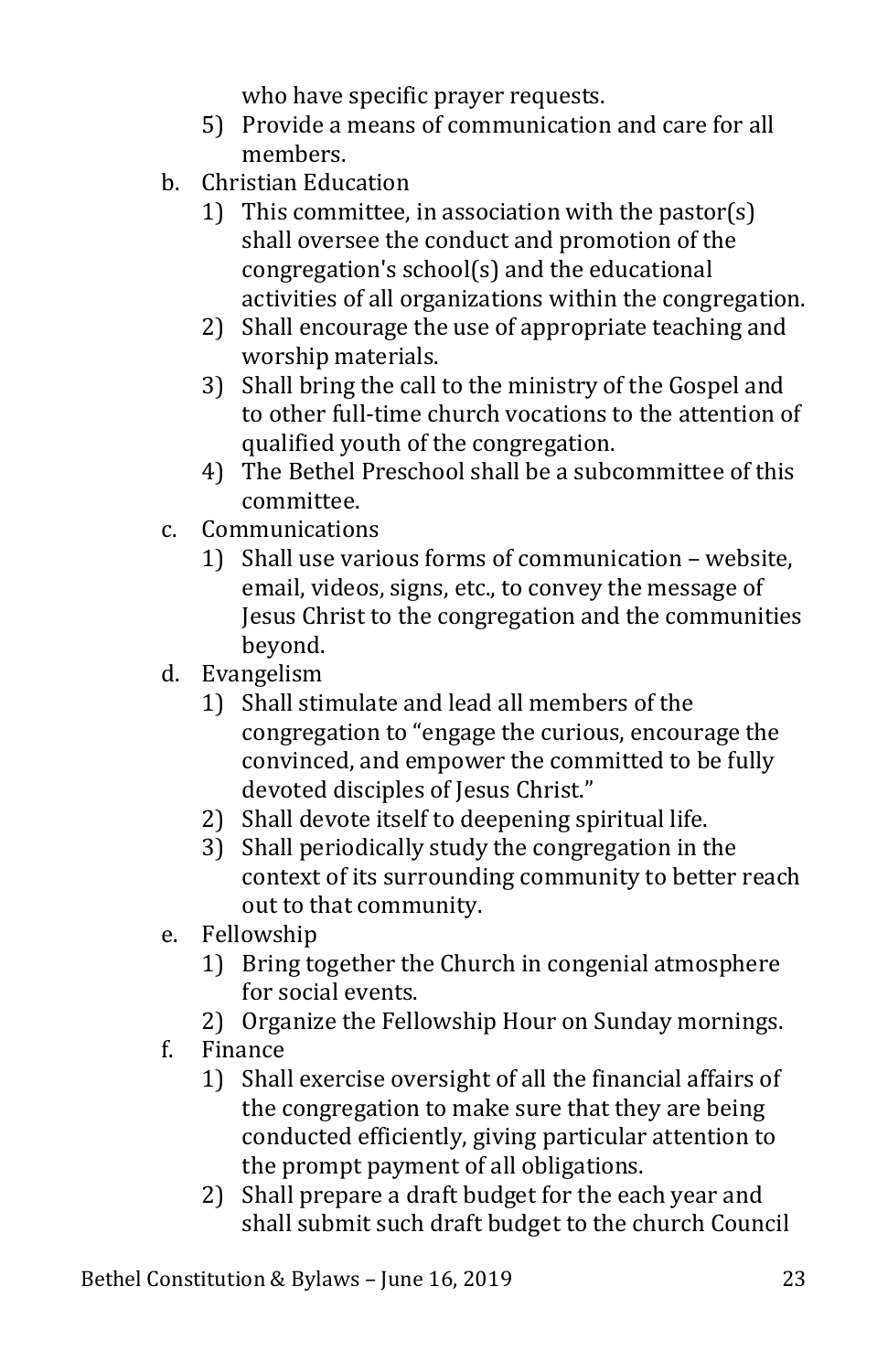who have specific prayer requests.

- 5) Provide a means of communication and care for all members.
- b. Christian Education
	- 1) This committee, in association with the pastor(s) shall oversee the conduct and promotion of the congregation's school(s) and the educational activities of all organizations within the congregation.
	- 2) Shall encourage the use of appropriate teaching and worship materials.
	- 3) Shall bring the call to the ministry of the Gospel and to other full-time church vocations to the attention of qualified youth of the congregation.
	- 4) The Bethel Preschool shall be a subcommittee of this committee.
- c. Communications
	- 1) Shall use various forms of communication website, email, videos, signs, etc., to convey the message of Jesus Christ to the congregation and the communities beyond.
- d. Evangelism
	- 1) Shall stimulate and lead all members of the congregation to "engage the curious, encourage the convinced, and empower the committed to be fully devoted disciples of Jesus Christ."
	- 2) Shall devote itself to deepening spiritual life.
	- 3) Shall periodically study the congregation in the context of its surrounding community to better reach out to that community.
- e. Fellowship
	- 1) Bring together the Church in congenial atmosphere for social events.
	- 2) Organize the Fellowship Hour on Sunday mornings.
- f. Finance
	- 1) Shall exercise oversight of all the financial affairs of the congregation to make sure that they are being conducted efficiently, giving particular attention to the prompt payment of all obligations.
	- 2) Shall prepare a draft budget for the each year and shall submit such draft budget to the church Council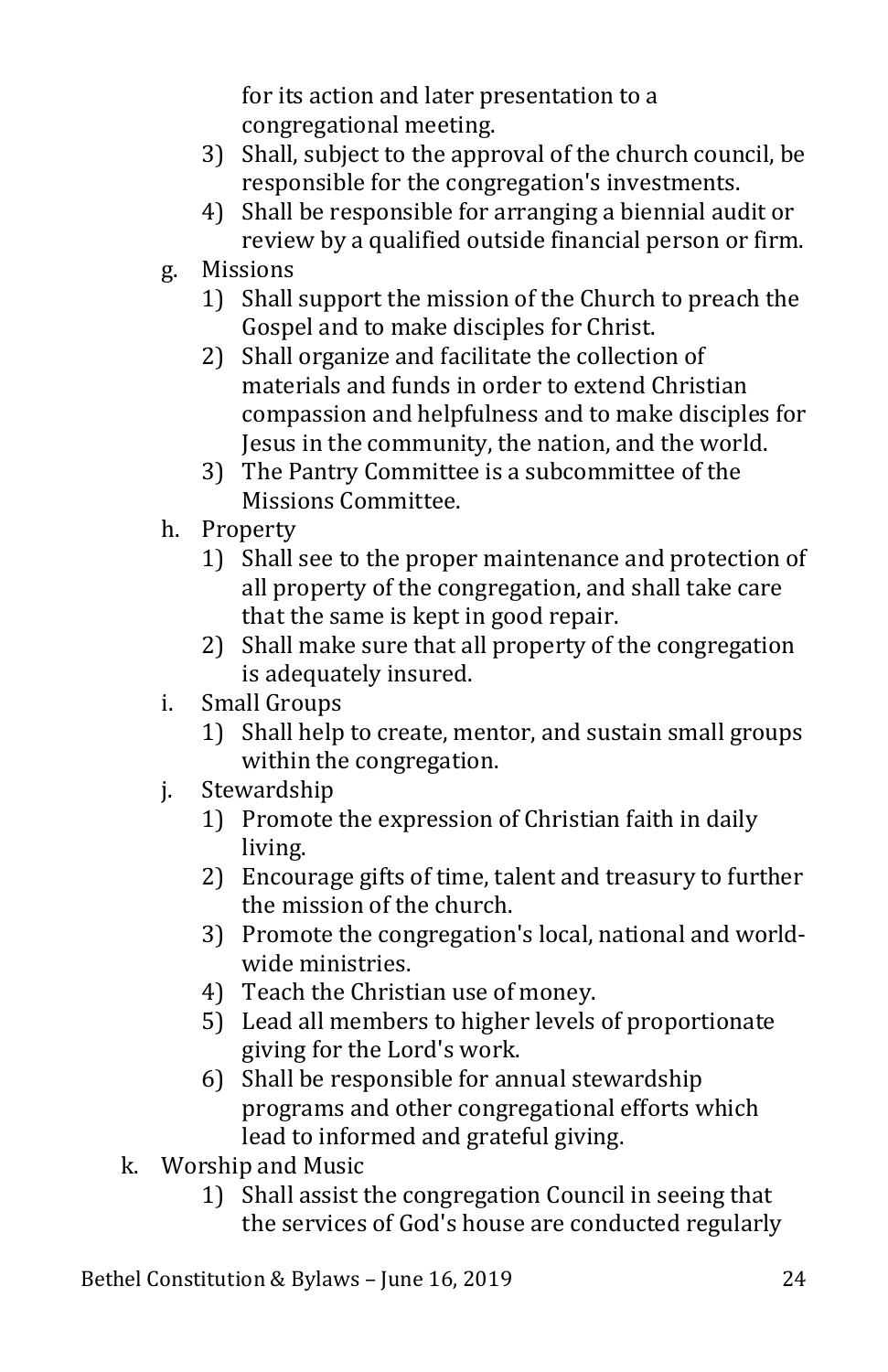for its action and later presentation to a congregational meeting.

- 3) Shall, subject to the approval of the church council, be responsible for the congregation's investments.
- 4) Shall be responsible for arranging a biennial audit or review by a qualified outside financial person or firm.
- g. Missions
	- 1) Shall support the mission of the Church to preach the Gospel and to make disciples for Christ.
	- 2) Shall organize and facilitate the collection of materials and funds in order to extend Christian compassion and helpfulness and to make disciples for Jesus in the community, the nation, and the world.
	- 3) The Pantry Committee is a subcommittee of the Missions Committee.
- h. Property
	- 1) Shall see to the proper maintenance and protection of all property of the congregation, and shall take care that the same is kept in good repair.
	- 2) Shall make sure that all property of the congregation is adequately insured.
- i. Small Groups
	- 1) Shall help to create, mentor, and sustain small groups within the congregation.
- j. Stewardship
	- 1) Promote the expression of Christian faith in daily living.
	- 2) Encourage gifts of time, talent and treasury to further the mission of the church.
	- 3) Promote the congregation's local, national and worldwide ministries.
	- 4) Teach the Christian use of money.
	- 5) Lead all members to higher levels of proportionate giving for the Lord's work.
	- 6) Shall be responsible for annual stewardship programs and other congregational efforts which lead to informed and grateful giving.
- k. Worship and Music
	- 1) Shall assist the congregation Council in seeing that the services of God's house are conducted regularly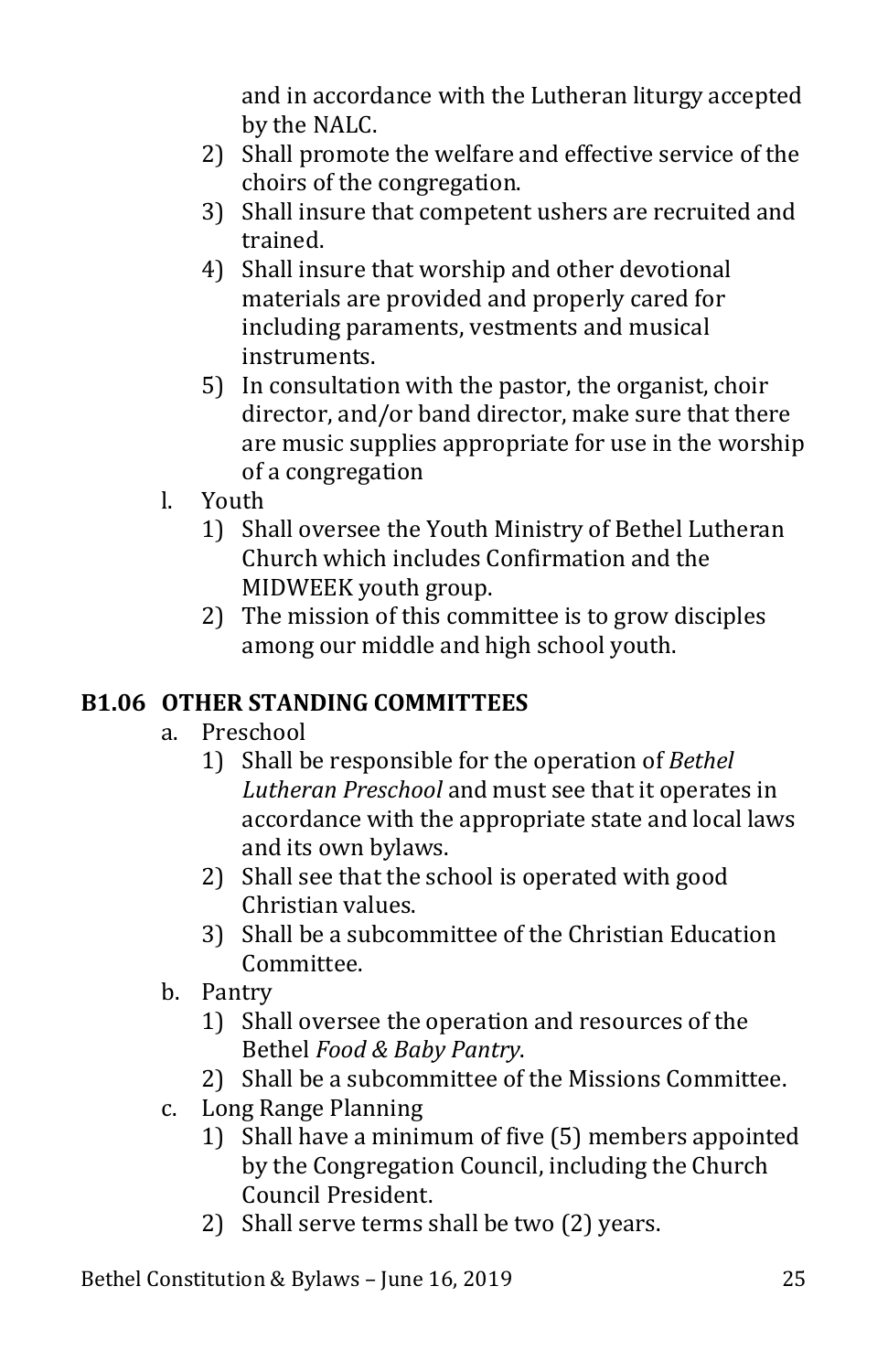and in accordance with the Lutheran liturgy accepted by the NALC.

- 2) Shall promote the welfare and effective service of the choirs of the congregation.
- 3) Shall insure that competent ushers are recruited and trained.
- 4) Shall insure that worship and other devotional materials are provided and properly cared for including paraments, vestments and musical instruments.
- 5) In consultation with the pastor, the organist, choir director, and/or band director, make sure that there are music supplies appropriate for use in the worship of a congregation
- l. Youth
	- 1) Shall oversee the Youth Ministry of Bethel Lutheran Church which includes Confirmation and the MIDWEEK youth group.
	- 2) The mission of this committee is to grow disciples among our middle and high school youth.

# <span id="page-25-0"></span>**B1.06 OTHER STANDING COMMITTEES**

- a. Preschool
	- 1) Shall be responsible for the operation of *Bethel Lutheran Preschool* and must see that it operates in accordance with the appropriate state and local laws and its own bylaws.
	- 2) Shall see that the school is operated with good Christian values.
	- 3) Shall be a subcommittee of the Christian Education Committee.
- b. Pantry
	- 1) Shall oversee the operation and resources of the Bethel *Food & Baby Pantry*.
	- 2) Shall be a subcommittee of the Missions Committee.
- c. Long Range Planning
	- 1) Shall have a minimum of five (5) members appointed by the Congregation Council, including the Church Council President.
	- 2) Shall serve terms shall be two (2) years.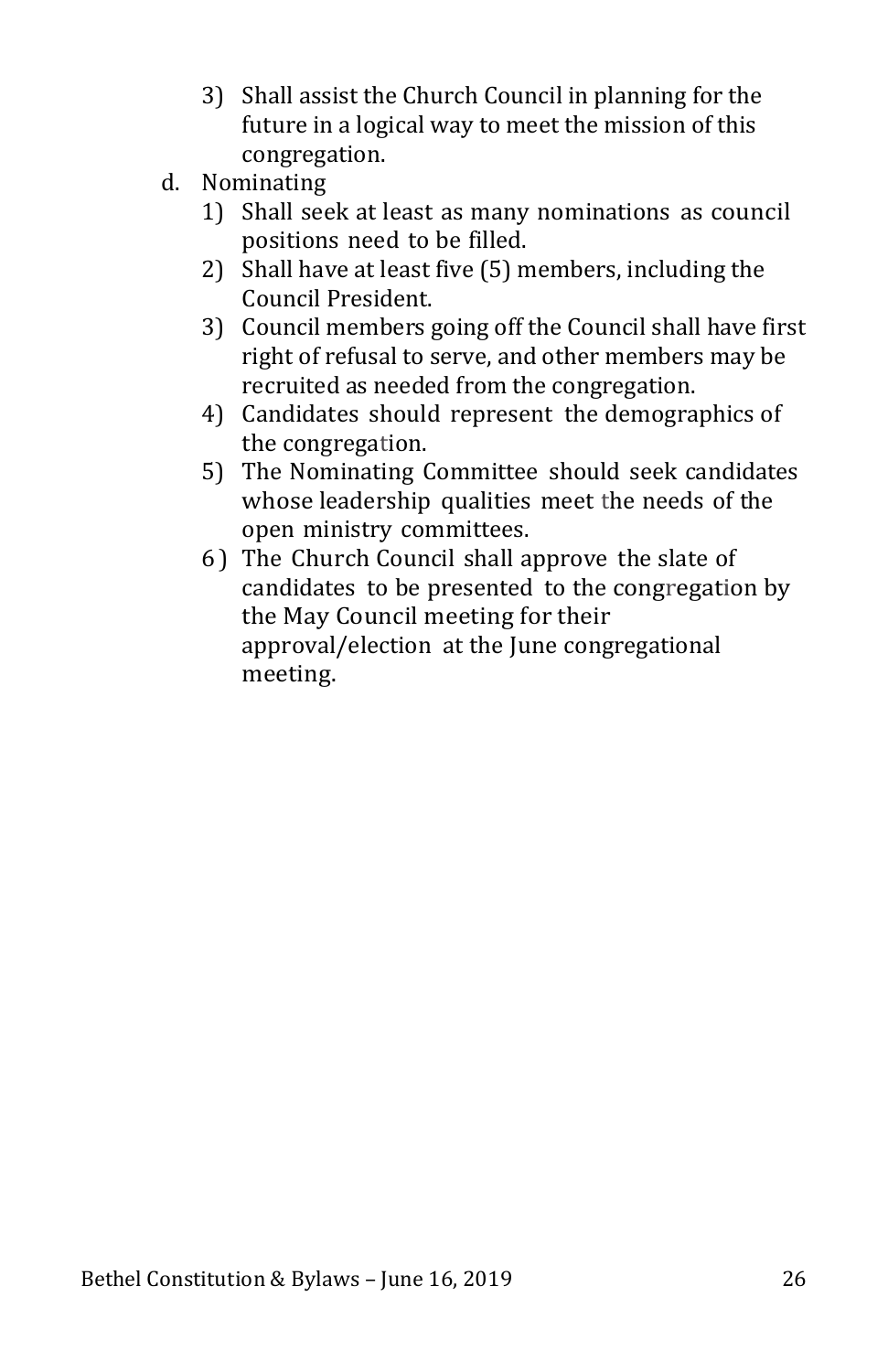- 3) Shall assist the Church Council in planning for the future in a logical way to meet the mission of this congregation.
- d. Nominating
	- 1) Shall seek at least as many nominations as council positions need to be filled.
	- 2) Shall have at least five (5) members, including the Council President.
	- 3) Council members going off the Council shall have first right of refusal to serve, and other members may be recruited as needed from the congregation.
	- 4) Candidates should represent the demographics of the congregation.
	- 5) The Nominating Committee should seek candidates whose leadership qualities meet the needs of the open ministry committees.
	- 6 ) The Church Council shall approve the slate of candidates to be presented to the congregation by the May Council meeting for their approval/election at the June congregational meeting.